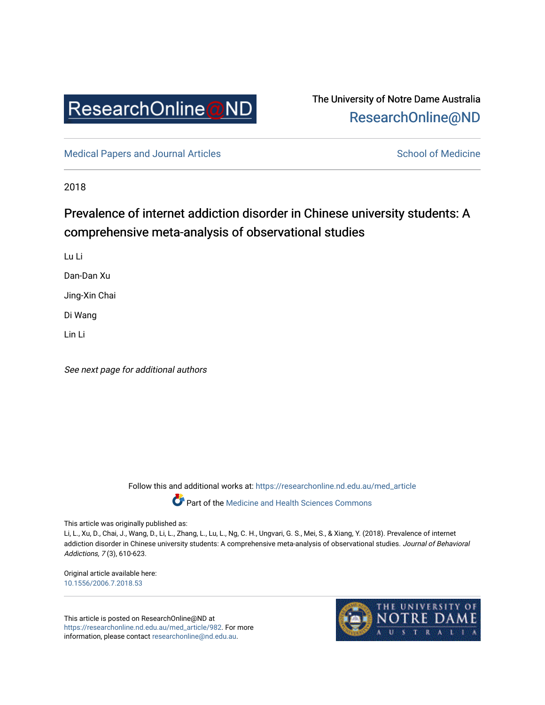

# The University of Notre Dame Australia [ResearchOnline@ND](https://researchonline.nd.edu.au/)

[Medical Papers and Journal Articles](https://researchonline.nd.edu.au/med_article) and School of Medicine

2018

# Prevalence of internet addiction disorder in Chinese university students: A comprehensive meta-analysis of observational studies

Lu Li

Dan-Dan Xu

Jing-Xin Chai

Di Wang

Lin Li

See next page for additional authors

Follow this and additional works at: [https://researchonline.nd.edu.au/med\\_article](https://researchonline.nd.edu.au/med_article?utm_source=researchonline.nd.edu.au%2Fmed_article%2F982&utm_medium=PDF&utm_campaign=PDFCoverPages) 

**Part of the [Medicine and Health Sciences Commons](http://network.bepress.com/hgg/discipline/648?utm_source=researchonline.nd.edu.au%2Fmed_article%2F982&utm_medium=PDF&utm_campaign=PDFCoverPages)** 

This article was originally published as:

Li, L., Xu, D., Chai, J., Wang, D., Li, L., Zhang, L., Lu, L., Ng, C. H., Ungvari, G. S., Mei, S., & Xiang, Y. (2018). Prevalence of internet addiction disorder in Chinese university students: A comprehensive meta-analysis of observational studies. Journal of Behavioral Addictions, 7 (3), 610-623.

Original article available here: [10.1556/2006.7.2018.53](https://doi.org/10.1556/2006.7.2018.53)

This article is posted on ResearchOnline@ND at [https://researchonline.nd.edu.au/med\\_article/982](https://researchonline.nd.edu.au/med_article/982). For more information, please contact [researchonline@nd.edu.au.](mailto:researchonline@nd.edu.au)

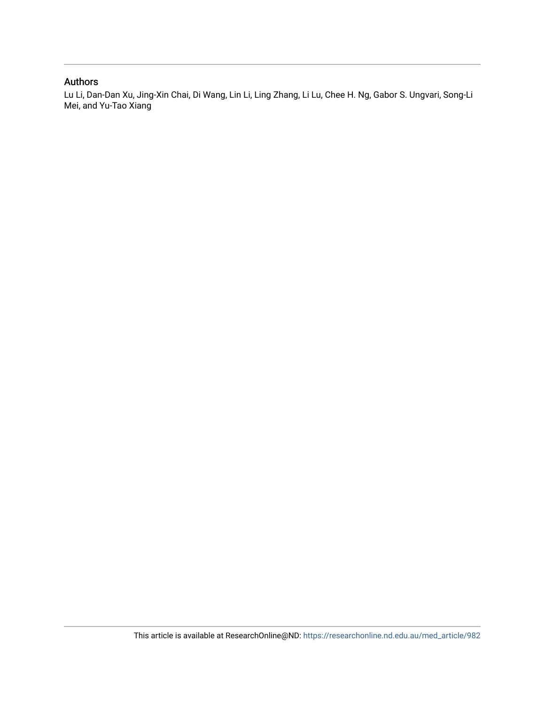# Authors

Lu Li, Dan-Dan Xu, Jing-Xin Chai, Di Wang, Lin Li, Ling Zhang, Li Lu, Chee H. Ng, Gabor S. Ungvari, Song-Li Mei, and Yu-Tao Xiang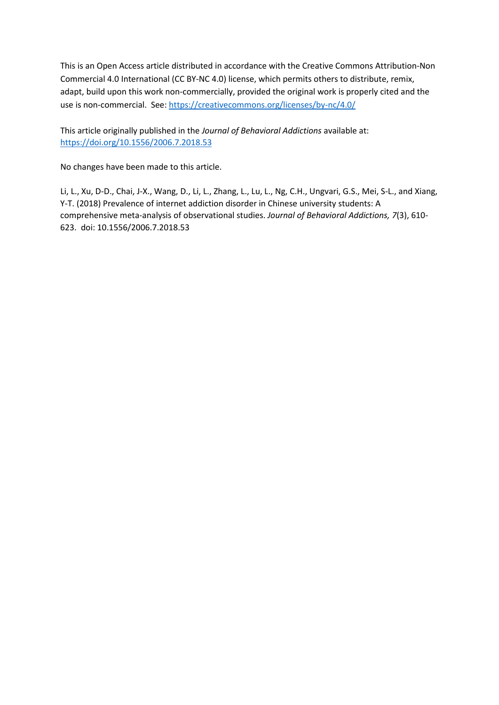This is an Open Access article distributed in accordance with the Creative Commons Attribution-Non Commercial 4.0 International (CC BY-NC 4.0) license, which permits others to distribute, remix, adapt, build upon this work non-commercially, provided the original work is properly cited and the use is non-commercial. See[: https://creativecommons.org/licenses/by-nc/4.0/](https://creativecommons.org/licenses/by-nc/4.0/)

This article originally published in the *Journal of Behavioral Addictions* available at: <https://doi.org/10.1556/2006.7.2018.53>

No changes have been made to this article.

Li, L., Xu, D-D., Chai, J-X., Wang, D., Li, L., Zhang, L., Lu, L., Ng, C.H., Ungvari, G.S., Mei, S-L., and Xiang, Y-T. (2018) Prevalence of internet addiction disorder in Chinese university students: A comprehensive meta-analysis of observational studies. *Journal of Behavioral Addictions, 7*(3), 610- 623. doi: 10.1556/2006.7.2018.53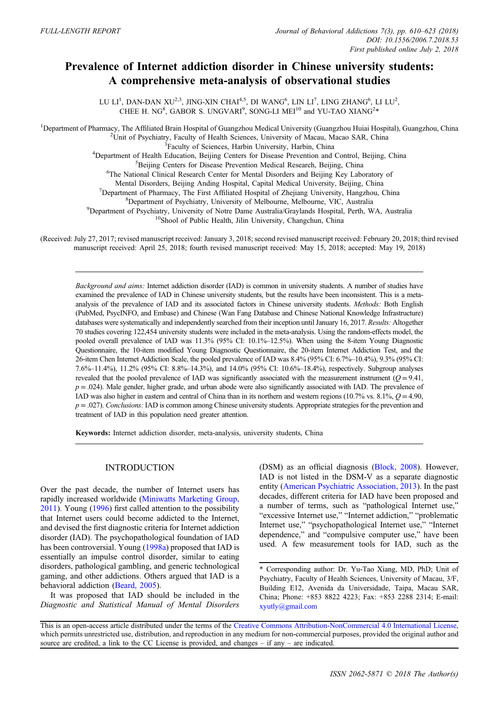# Prevalence of Internet addiction disorder in Chinese university students: A comprehensive meta-analysis of observational studies

LU LI<sup>1</sup>, DAN-DAN XU<sup>2,3</sup>, JING-XIN CHAI<sup>4,5</sup>, DI WANG<sup>6</sup>, LIN LI<sup>7</sup>, LING ZHANG<sup>6</sup>, LI LU<sup>2</sup>, CHEE H. NG<sup>8</sup>, GABOR S. UNGVARI<sup>9</sup>, SONG-LI MEI<sup>10</sup> and YU-TAO XIANG<sup>2</sup>\*

<sup>1</sup>Department of Pharmacy, The Affiliated Brain Hospital of Guangzhou Medical University (Guangzhou Huiai Hospital), Guangzhou, China <sup>2</sup>Unit of Povebiatry, Ecculty of Health Sciences, University of Macau, Macao SAP, Chin <sup>2</sup>Unit of Psychiatry, Faculty of Health Sciences, University of Macau, Macao SAR, China <sup>3</sup>Faculty of Sciences, Harbin University, Harbin, China <sup>3</sup>Faculty of Sciences, Harbin University, Harbin, China <sup>4</sup>Department of Harlth Education, Baijing Centers for Disease Prevention and Department of Health Education, Beijing Centers for Disease Prevention and Control, Beijing, China 5<br>Spaijing Centers for Disease Prevention Medical Pesearch, Beijing, China <sup>5</sup>Beijing Centers for Disease Prevention Medical Research, Beijing, China <sup>6</sup>The National Clinical Research Center for Mental Disorders and Beijing Key Laboratory of Mental Disorders, Beijing Anding Hospital, Capital Medical University, Beijing, China <sup>7</sup>  $\nabla^7$ Department of Pharmacy, The First Affiliated Hospital of Zhejiang University, Hangzhou, China <sup>8</sup>Department of Psychiatry, University of Melbourne, Melbourne, VIC, Australia  $^{9}$ Department of Psychiatry, University of Notre Dame Australia/Graylands Hospital, Perth, WA, Australia  $^{10}$ Shool of Public Health, Jilin University, Changchun, China

(Received: July 27, 2017; revised manuscript received: January 3, 2018; second revised manuscript received: February 20, 2018; third revised manuscript received: April 25, 2018; fourth revised manuscript received: May 15, 2018; accepted: May 19, 2018)

Background and aims: Internet addiction disorder (IAD) is common in university students. A number of studies have examined the prevalence of IAD in Chinese university students, but the results have been inconsistent. This is a metaanalysis of the prevalence of IAD and its associated factors in Chinese university students. Methods: Both English (PubMed, PsycINFO, and Embase) and Chinese (Wan Fang Database and Chinese National Knowledge Infrastructure) databases were systematically and independently searched from their inception until January 16, 2017. Results: Altogether 70 studies covering 122,454 university students were included in the meta-analysis. Using the random-effects model, the pooled overall prevalence of IAD was 11.3% (95% CI: 10.1%–12.5%). When using the 8-item Young Diagnostic Questionnaire, the 10-item modified Young Diagnostic Questionnaire, the 20-item Internet Addiction Test, and the 26-item Chen Internet Addiction Scale, the pooled prevalence of IAD was 8.4% (95% CI: 6.7%–10.4%), 9.3% (95% CI: 7.6%–11.4%), 11.2% (95% CI: 8.8%–14.3%), and 14.0% (95% CI: 10.6%–18.4%), respectively. Subgroup analyses revealed that the pooled prevalence of IAD was significantly associated with the measurement instrument ( $Q = 9.41$ ,  $p = .024$ ). Male gender, higher grade, and urban abode were also significantly associated with IAD. The prevalence of IAD was also higher in eastern and central of China than in its northern and western regions (10.7% vs. 8.1%,  $Q = 4.90$ ,  $p = .027$ ). Conclusions: IAD is common among Chinese university students. Appropriate strategies for the prevention and treatment of IAD in this population need greater attention.

Keywords: Internet addiction disorder, meta-analysis, university students, China

## INTRODUCTION

Over the past decade, the number of Internet users has rapidly increased worldwide [\(Miniwatts Marketing Group,](#page-14-0) [2011](#page-14-0)). Young [\(1996](#page-15-0)) first called attention to the possibility that Internet users could become addicted to the Internet, and devised the first diagnostic criteria for Internet addiction disorder (IAD). The psychopathological foundation of IAD has been controversial. Young ([1998a](#page-16-0)) proposed that IAD is essentially an impulse control disorder, similar to eating disorders, pathological gambling, and generic technological gaming, and other addictions. Others argued that IAD is a behavioral addiction [\(Beard, 2005\)](#page-12-0).

It was proposed that IAD should be included in the Diagnostic and Statistical Manual of Mental Disorders (DSM) as an official diagnosis ([Block, 2008\)](#page-12-0). However, IAD is not listed in the DSM-V as a separate diagnostic entity ([American Psychiatric Association, 2013\)](#page-12-0). In the past decades, different criteria for IAD have been proposed and a number of terms, such as "pathological Internet use," "excessive Internet use," "Internet addiction," "problematic Internet use," "psychopathological Internet use," "Internet dependence," and "compulsive computer use," have been used. A few measurement tools for IAD, such as the

<sup>\*</sup> Corresponding author: Dr. Yu-Tao Xiang, MD, PhD; Unit of Psychiatry, Faculty of Health Sciences, University of Macau, 3/F, Building E12, Avenida da Universidade, Taipa, Macau SAR, China; Phone: +853 8822 4223; Fax: +853 2288 2314; E-mail: [xyutly@gmail.com](mailto:xyutly@gmail.com)

This is an open-access article distributed under the terms of the [Creative Commons Attribution-NonCommercial 4.0 International License,](http://creativecommons.org/licenses/by-nc/4.0/) which permits unrestricted use, distribution, and reproduction in any medium for non-commercial purposes, provided the original author and source are credited, a link to the CC License is provided, and changes – if any – are indicated.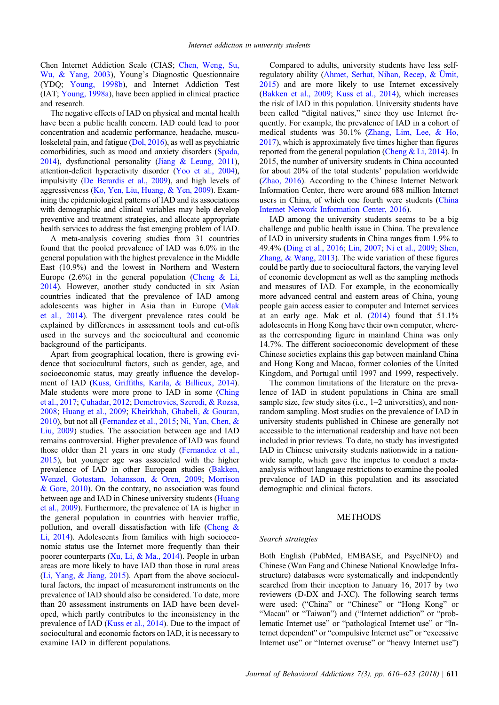Chen Internet Addiction Scale (CIAS; [Chen, Weng, Su,](#page-12-0) [Wu, & Yang, 2003\)](#page-12-0), Young's Diagnostic Questionnaire (YDQ; [Young, 1998b](#page-16-0)), and Internet Addiction Test (IAT; [Young, 1998a\)](#page-16-0), have been applied in clinical practice and research.

The negative effects of IAD on physical and mental health have been a public health concern. IAD could lead to poor concentration and academic performance, headache, musculoskeletal pain, and fatigue [\(Dol, 2016](#page-13-0)), as well as psychiatric comorbidities, such as mood and anxiety disorders [\(Spada,](#page-15-0) [2014\)](#page-15-0), dysfunctional personality ([Jiang & Leung, 2011](#page-13-0)), attention-deficit hyperactivity disorder ([Yoo et al., 2004](#page-15-0)), impulsivity ([De Berardis et al., 2009](#page-12-0)), and high levels of aggressiveness ([Ko, Yen, Liu, Huang, & Yen, 2009](#page-13-0)). Examining the epidemiological patterns of IAD and its associations with demographic and clinical variables may help develop preventive and treatment strategies, and allocate appropriate health services to address the fast emerging problem of IAD.

A meta-analysis covering studies from 31 countries found that the pooled prevalence of IAD was 6.0% in the general population with the highest prevalence in the Middle East (10.9%) and the lowest in Northern and Western Europe  $(2.6\%)$  in the general population [\(Cheng & Li,](#page-12-0) [2014](#page-12-0)). However, another study conducted in six Asian countries indicated that the prevalence of IAD among adolescents was higher in Asia than in Europe [\(Mak](#page-14-0) [et al., 2014](#page-14-0)). The divergent prevalence rates could be explained by differences in assessment tools and cut-offs used in the surveys and the sociocultural and economic background of the participants.

Apart from geographical location, there is growing evidence that sociocultural factors, such as gender, age, and socioeconomic status, may greatly influence the development of IAD (Kuss, Griffi[ths, Karila, & Billieux, 2014\)](#page-13-0). Male students were more prone to IAD in some [\(Ching](#page-12-0) [et al., 2017;](#page-12-0) [Çuhadar, 2012;](#page-12-0) [Demetrovics, Szeredi, & Rozsa,](#page-12-0) [2008](#page-12-0); [Huang et al., 2009;](#page-13-0) [Kheirkhah, Ghabeli, & Gouran,](#page-13-0) [2010](#page-13-0)), but not all [\(Fernandez et al., 2015](#page-13-0); [Ni, Yan, Chen, &](#page-14-0) [Liu, 2009](#page-14-0)) studies. The association between age and IAD remains controversial. Higher prevalence of IAD was found those older than 21 years in one study [\(Fernandez et al.,](#page-13-0) [2015](#page-13-0)), but younger age was associated with the higher prevalence of IAD in other European studies ([Bakken,](#page-12-0) [Wenzel, Gotestam, Johansson, & Oren, 2009;](#page-12-0) [Morrison](#page-14-0) [& Gore, 2010\)](#page-14-0). On the contrary, no association was found between age and IAD in Chinese university students [\(Huang](#page-13-0) [et al., 2009\)](#page-13-0). Furthermore, the prevalence of IA is higher in the general population in countries with heavier traffic, pollution, and overall dissatisfaction with life [\(Cheng &](#page-12-0) [Li, 2014](#page-12-0)). Adolescents from families with high socioeconomic status use the Internet more frequently than their poorer counterparts ([Xu, Li, & Ma., 2014](#page-15-0)). People in urban areas are more likely to have IAD than those in rural areas [\(Li, Yang, & Jiang, 2015](#page-13-0)). Apart from the above sociocultural factors, the impact of measurement instruments on the prevalence of IAD should also be considered. To date, more than 20 assessment instruments on IAD have been developed, which partly contributes to the inconsistency in the prevalence of IAD [\(Kuss et al., 2014](#page-13-0)). Due to the impact of sociocultural and economic factors on IAD, it is necessary to examine IAD in different populations.

Compared to adults, university students have less selfregulatory ability [\(Ahmet, Serhat, Nihan, Recep, & Ümit,](#page-12-0) [2015\)](#page-12-0) and are more likely to use Internet excessively ([Bakken et al., 2009;](#page-12-0) [Kuss et al., 2014\)](#page-13-0), which increases the risk of IAD in this population. University students have been called "digital natives," since they use Internet frequently. For example, the prevalence of IAD in a cohort of medical students was 30.1% [\(Zhang, Lim, Lee, & Ho,](#page-16-0) [2017\)](#page-16-0), which is approximately five times higher than figures reported from the general population [\(Cheng & Li, 2014\)](#page-12-0). In 2015, the number of university students in China accounted for about 20% of the total students' population worldwide ([Zhao, 2016\)](#page-16-0). According to the Chinese Internet Network Information Center, there were around 688 million Internet users in China, of which one fourth were students [\(China](#page-12-0) [Internet Network Information Center, 2016](#page-12-0)).

IAD among the university students seems to be a big challenge and public health issue in China. The prevalence of IAD in university students in China ranges from 1.9% to 49.4% ([Ding et al., 2016;](#page-13-0) [Lin, 2007;](#page-14-0) [Ni et al., 2009;](#page-14-0) [Shen,](#page-15-0) [Zhang, & Wang, 2013\)](#page-15-0). The wide variation of these figures could be partly due to sociocultural factors, the varying level of economic development as well as the sampling methods and measures of IAD. For example, in the economically more advanced central and eastern areas of China, young people gain access easier to computer and Internet services at an early age. Mak et al.  $(2014)$  $(2014)$  found that  $51.1\%$ adolescents in Hong Kong have their own computer, whereas the corresponding figure in mainland China was only 14.7%. The different socioeconomic development of these Chinese societies explains this gap between mainland China and Hong Kong and Macao, former colonies of the United Kingdom, and Portugal until 1997 and 1999, respectively.

The common limitations of the literature on the prevalence of IAD in student populations in China are small sample size, few study sites (i.e., 1–2 universities), and nonrandom sampling. Most studies on the prevalence of IAD in university students published in Chinese are generally not accessible to the international readership and have not been included in prior reviews. To date, no study has investigated IAD in Chinese university students nationwide in a nationwide sample, which gave the impetus to conduct a metaanalysis without language restrictions to examine the pooled prevalence of IAD in this population and its associated demographic and clinical factors.

#### METHODS

#### Search strategies

Both English (PubMed, EMBASE, and PsycINFO) and Chinese (Wan Fang and Chinese National Knowledge Infrastructure) databases were systematically and independently searched from their inception to January 16, 2017 by two reviewers (D-DX and J-XC). The following search terms were used: ("China" or "Chinese" or "Hong Kong" or "Macau" or "Taiwan") and ("Internet addiction" or "problematic Internet use" or "pathological Internet use" or "Internet dependent" or "compulsive Internet use" or "excessive Internet use" or "Internet overuse" or "heavy Internet use")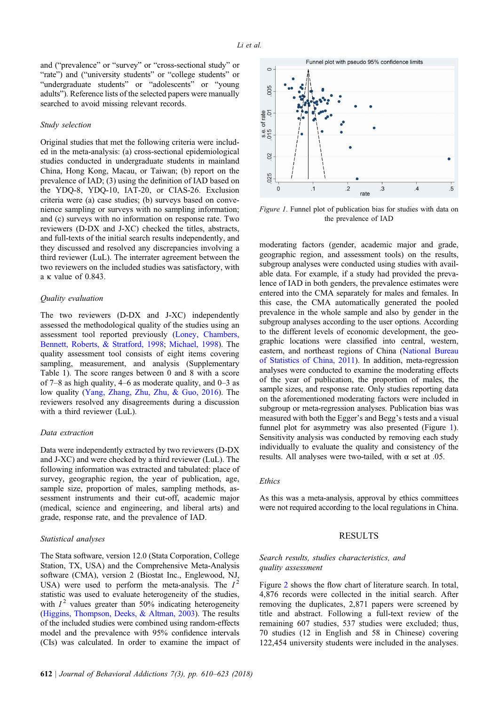and ("prevalence" or "survey" or "cross-sectional study" or "rate") and ("university students" or "college students" or "undergraduate students" or "adolescents" or "young adults"). Reference lists of the selected papers were manually searched to avoid missing relevant records.

#### Study selection

Original studies that met the following criteria were included in the meta-analysis: (a) cross-sectional epidemiological studies conducted in undergraduate students in mainland China, Hong Kong, Macau, or Taiwan; (b) report on the prevalence of IAD; (3) using the definition of IAD based on the YDQ-8, YDQ-10, IAT-20, or CIAS-26. Exclusion criteria were (a) case studies; (b) surveys based on convenience sampling or surveys with no sampling information; and (c) surveys with no information on response rate. Two reviewers (D-DX and J-XC) checked the titles, abstracts, and full-texts of the initial search results independently, and they discussed and resolved any discrepancies involving a third reviewer (LuL). The interrater agreement between the two reviewers on the included studies was satisfactory, with a κ value of 0.843.

# Quality evaluation

The two reviewers (D-DX and J-XC) independently assessed the methodological quality of the studies using an assessment tool reported previously [\(Loney, Chambers,](#page-14-0) [Bennett, Roberts, & Stratford, 1998](#page-14-0); [Michael, 1998\)](#page-14-0). The quality assessment tool consists of eight items covering sampling, measurement, and analysis (Supplementary Table 1). The score ranges between 0 and 8 with a score of 7–8 as high quality, 4–6 as moderate quality, and 0–3 as low quality [\(Yang, Zhang, Zhu, Zhu, & Guo, 2016\)](#page-15-0). The reviewers resolved any disagreements during a discussion with a third reviewer (LuL).

#### Data extraction

Data were independently extracted by two reviewers (D-DX and J-XC) and were checked by a third reviewer (LuL). The following information was extracted and tabulated: place of survey, geographic region, the year of publication, age, sample size, proportion of males, sampling methods, assessment instruments and their cut-off, academic major (medical, science and engineering, and liberal arts) and grade, response rate, and the prevalence of IAD.

#### Statistical analyses

The Stata software, version 12.0 (Stata Corporation, College Station, TX, USA) and the Comprehensive Meta-Analysis software (CMA), version 2 (Biostat Inc., Englewood, NJ, USA) were used to perform the meta-analysis. The  $I^2$ statistic was used to evaluate heterogeneity of the studies, with  $I<sup>2</sup>$  values greater than 50% indicating heterogeneity [\(Higgins, Thompson, Deeks, & Altman, 2003\)](#page-13-0). The results of the included studies were combined using random-effects model and the prevalence with 95% confidence intervals (CIs) was calculated. In order to examine the impact of



Figure 1. Funnel plot of publication bias for studies with data on the prevalence of IAD

moderating factors (gender, academic major and grade, geographic region, and assessment tools) on the results, subgroup analyses were conducted using studies with available data. For example, if a study had provided the prevalence of IAD in both genders, the prevalence estimates were entered into the CMA separately for males and females. In this case, the CMA automatically generated the pooled prevalence in the whole sample and also by gender in the subgroup analyses according to the user options. According to the different levels of economic development, the geographic locations were classified into central, western, eastern, and northeast regions of China [\(National Bureau](#page-14-0) [of Statistics of China, 2011\)](#page-14-0). In addition, meta-regression analyses were conducted to examine the moderating effects of the year of publication, the proportion of males, the sample sizes, and response rate. Only studies reporting data on the aforementioned moderating factors were included in subgroup or meta-regression analyses. Publication bias was measured with both the Egger's and Begg's tests and a visual funnel plot for asymmetry was also presented (Figure 1). Sensitivity analysis was conducted by removing each study individually to evaluate the quality and consistency of the results. All analyses were two-tailed, with  $\alpha$  set at .05.

# **Ethics**

As this was a meta-analysis, approval by ethics committees were not required according to the local regulations in China.

## RESULTS

## Search results, studies characteristics, and quality assessment

Figure [2](#page-6-0) shows the flow chart of literature search. In total, 4,876 records were collected in the initial search. After removing the duplicates, 2,871 papers were screened by title and abstract. Following a full-text review of the remaining 607 studies, 537 studies were excluded; thus, 70 studies (12 in English and 58 in Chinese) covering 122,454 university students were included in the analyses.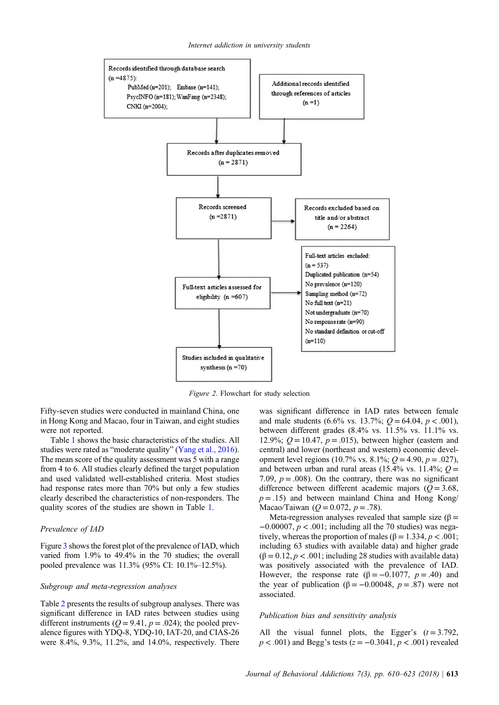<span id="page-6-0"></span>

Figure 2. Flowchart for study selection

Fifty-seven studies were conducted in mainland China, one in Hong Kong and Macao, four in Taiwan, and eight studies were not reported.

Table [1](#page-7-0) shows the basic characteristics of the studies. All studies were rated as "moderate quality" [\(Yang et al., 2016\)](#page-15-0). The mean score of the quality assessment was 5 with a range from 4 to 6. All studies clearly defined the target population and used validated well-established criteria. Most studies had response rates more than 70% but only a few studies clearly described the characteristics of non-responders. The quality scores of the studies are shown in Table [1](#page-7-0).

#### Prevalence of IAD

Figure [3](#page-11-0) shows the forest plot of the prevalence of IAD, which varied from 1.9% to 49.4% in the 70 studies; the overall pooled prevalence was 11.3% (95% CI: 10.1%–12.5%).

#### Subgroup and meta-regression analyses

Table [2](#page-10-0) presents the results of subgroup analyses. There was significant difference in IAD rates between studies using different instruments ( $Q = 9.41$ ,  $p = .024$ ); the pooled prevalence figures with YDQ-8, YDQ-10, IAT-20, and CIAS-26 were 8.4%, 9.3%, 11.2%, and 14.0%, respectively. There

was significant difference in IAD rates between female and male students (6.6% vs. 13.7%;  $Q = 64.04$ ,  $p < .001$ ), between different grades (8.4% vs. 11.5% vs. 11.1% vs. 12.9%;  $Q = 10.47$ ,  $p = .015$ ), between higher (eastern and central) and lower (northeast and western) economic development level regions (10.7% vs. 8.1%;  $Q = 4.90$ ,  $p = .027$ ), and between urban and rural areas (15.4% vs. 11.4%;  $Q =$ 7.09,  $p = .008$ ). On the contrary, there was no significant difference between different academic majors ( $Q = 3.68$ ,  $p = .15$ ) and between mainland China and Hong Kong/ Macao/Taiwan ( $Q = 0.072$ ,  $p = .78$ ).

Meta-regression analyses revealed that sample size ( $\beta$  =  $-0.00007$ ,  $p < .001$ ; including all the 70 studies) was negatively, whereas the proportion of males ( $\beta = 1.334$ ,  $p < .001$ ; including 63 studies with available data) and higher grade  $(\beta = 0.12, p < .001$ ; including 28 studies with available data) was positively associated with the prevalence of IAD. However, the response rate ( $\beta = -0.1077$ ,  $p = .40$ ) and the year of publication ( $\beta = -0.00048$ ,  $p = .87$ ) were not associated.

#### Publication bias and sensitivity analysis

All the visual funnel plots, the Egger's  $(t = 3.792)$ ,  $p < .001$ ) and Begg's tests ( $z = -0.3041$ ,  $p < .001$ ) revealed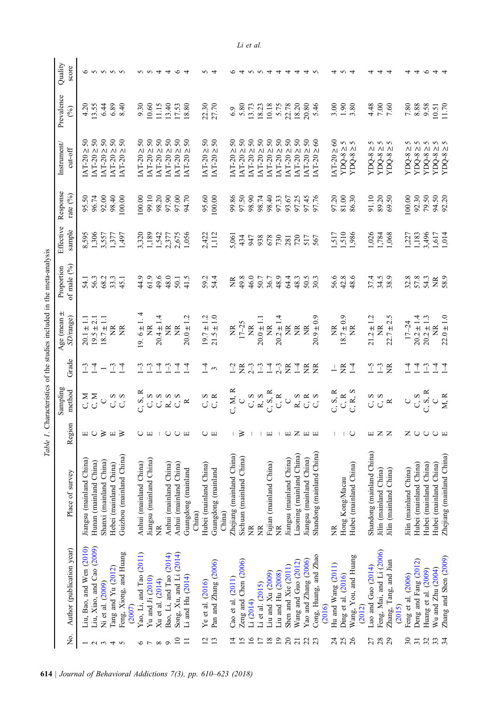<span id="page-7-0"></span>

| Σó.                      | Author (publication year)      | Place of survey               | Region                           | Sampling<br>method                                                                   | Grade                       | Age (mean $\pm$<br>SD/range) | of male $(^{9}_{0})$<br>Proportion | Effective<br>sample | Response<br>rate $(^{9}_{0})$ | Instrument/<br>$cut-off$                                                             | Prevalence<br>$($ % $)$ | Quality<br>score |
|--------------------------|--------------------------------|-------------------------------|----------------------------------|--------------------------------------------------------------------------------------|-----------------------------|------------------------------|------------------------------------|---------------------|-------------------------------|--------------------------------------------------------------------------------------|-------------------------|------------------|
|                          | Liu, Bao, and Wen $(2010)$     | Jiangsu (mainland China)      |                                  | Σ<br>೧                                                                               | ⊡                           | $20.1 \pm 1.1$               | 54.1                               | 8,595               | 95.50                         | $50\,$<br>ΛΙ<br><b>AT-20</b>                                                         | 4.20                    |                  |
|                          | Liu, Xiao, and Cao (2009)      | Hunan (mainland China)        | $\Box$                           | L, N                                                                                 | 4                           | $19.5 \pm 2.1$               | 56.3                               | 1,306               | 96.74                         | $50\,$<br>$\text{AT-20} \geq$                                                        | 3.55                    |                  |
|                          | Ni et al. (2009)               | Shanxi (mainland China)       | $\geq$                           | $\cup$                                                                               | $\overline{\phantom{0}}$    | $\frac{11}{11}$<br>18.7      | 68.2                               | 3,557               | 92.00                         | $50\,$<br>$[AT-20Z]$                                                                 | 6.44                    | <b>しょううう</b>     |
| $\omega$ 4               | Tang and $Yu(2012)$            | Hebei (mainland China)        | $\Box$                           | $\infty$<br>C,                                                                       | $1 - 3$                     | $\widetilde{\Xi}$            | 33.3                               | 1,377               | 98.40                         | $50\,$<br>$\text{IAT-20} \geq$                                                       | 6.89                    |                  |
| 5                        | Feng, Xiong, and Huang         | Guizhou (mainland China)      | $\geq$                           | $\mathbf{C},\, \mathbf{S}$                                                           | $\overline{1}$              | Ĕ                            | 45.1                               | 1,497               | 100.00                        | $50\,$<br>$\text{AT-20} \geq$                                                        | 8.40                    |                  |
|                          | (2007)                         |                               |                                  |                                                                                      |                             |                              |                                    |                     |                               |                                                                                      |                         |                  |
| $\circ$                  | Yao, Li, and Tao (2011)        | Anhui (mainland China)        | $\cup$ $\Box$                    | C, S, R                                                                              | $\mathbb{C}$                | $9.6 \pm 1.$                 | 44.9                               | 3,320               | 100.00                        | $50\,$<br><b>IAT-20</b>                                                              | 9.30                    |                  |
| $\overline{ }$           | Yu and Ji (2010)               | Jiangsu (mainland China)      |                                  |                                                                                      | $\mathcal{L}_{\mathcal{L}}$ | $\widetilde{\Xi}$            | 61.9                               | 1,189               | 99.10                         | $50\,$<br>$\wedge$ $\wedge$<br>$IAT-20$                                              | 10.60                   |                  |
| $\infty$                 | Xu et al. (2014)               | ž                             | $\mathbb{L}$                     | C, S                                                                                 | $\overline{A}$              | $20.4 \pm 1.4$               | 49.6                               | 1,542               | 98.20                         | $50\,$<br>$IAT-20 \geq$                                                              | 11.15                   | 4                |
| $\circ$                  | Bao, Li, and Tao (2014)        | Anhui (mainland China)        | $\cup$                           | $\infty$                                                                             | $\tilde{\mathcal{L}}$       | ž                            | 48.0                               | 2,377               | 97.90                         | $50\,$<br>$\Lambda$<br>IAT-20                                                        | 13.40                   | ₹                |
| $\Xi$                    | Song, Xu, and Li (2014)        | Anhui (mainland China)        |                                  | S                                                                                    | $\overline{1}$              | $\widetilde{\Xi}$            | 50.1                               | 2,675               | 97.00                         | 50                                                                                   | 17.53<br>18.80          |                  |
| Ξ                        | Li and Hu $(2014)$             | Guangdong (mainland<br>China) |                                  | $\approx$                                                                            | ₹                           | $20.0 \pm 1.2$               | 41.5                               | 1,056               | 94.70                         | 50<br>$1AT-20 \geq 5$<br>$1AT-20 \geq 5$                                             |                         |                  |
| $\overline{c}$           | Ye et al. $(2016)$             | Hubei (mainland China)        | $\cup$ $\Box$                    |                                                                                      |                             | $19.7 \pm 1.2$               | 59.2                               | 2,422               | 95.60                         | 50                                                                                   | 22.30                   |                  |
| 13                       | Pan and Zhang (2006)           | Guangdong (mainland           |                                  | C, R                                                                                 | $\bar{4}$ w                 | $21.5 \pm 1.0$               | 54.4                               | 1,112               | 100.00                        | $50\,$<br>$1AT-20 \geq 5$<br>$1AT-20 \geq 5$                                         | 27.70                   |                  |
|                          |                                | China)                        |                                  |                                                                                      |                             |                              |                                    |                     |                               |                                                                                      |                         |                  |
| $\vec{4}$                | Cao et al. (2011)              | Zhejiang (mainland China)     |                                  | $\Box$ M, $R$                                                                        | $\overline{1}$              | ž                            | ž                                  | 5,061               | 99.86                         | 50<br>ΛI<br><b>AT-20</b>                                                             | 6.9                     |                  |
| $\overline{15}$          | Zeng and Chen (2006)           | Sichuan (mainland China)      | $\geq$                           | $\cup$                                                                               | $\widetilde{\Xi}$           | $17 - 25$                    | 49.8                               | 434                 | 97.50                         | 50<br>$\text{IAT-20} \geq$                                                           | 5.80                    |                  |
| $\overline{16}$          | Li (2014)                      | Ž                             |                                  | $C, S$<br>$R, S$                                                                     | $2-3$                       | $\widetilde{\Xi}$            | 46.0                               | 947                 | 98.90                         | 50<br>$\wedge$<br><b>IAT-20</b>                                                      | 13.73                   |                  |
| $\overline{17}$          | Li et al. (2015)               | ž                             | $\mathsf{I}$                     |                                                                                      | $\sqrt{1}$                  | $20.0 \pm 1.1$               | 50.7                               | 938                 | 98.74                         | 50<br>$\text{AT-202}$                                                                | 18.23                   |                  |
| $18\,$                   | Liu and $Xu$ $(2009)$          | Fujian (mainland China)       | $\hfill \square$                 | C, S, R                                                                              | $\overline{1}$              | $\widetilde{\Xi}$            | 36.7                               | 678                 | 98.40                         | 50<br>$IAT-20 \geq 1$                                                                | 10.18                   | ₹                |
| $\overline{0}$           | Liu and Hu (2008)              | ž                             |                                  | C, R                                                                                 | $2-3$                       | $20.2 \pm 1.4$               | 48.9                               | 730                 | 97.33                         | $50\,$<br>$\text{AT-202}$                                                            | 5.75                    | ₹                |
| $\overline{c}$           | Shen and Xie (2011)            | Jiangsu (mainland China)      | $\hfill \square$                 | $\cup$                                                                               | $\widetilde{\Xi}$           | ž                            | 64.4                               | 281                 | 93.67                         | $50\,$<br>$\text{AT-20} \geq$                                                        | 22.78                   | 4                |
| $\overline{21}$          | Wang and Guo $(2012)$          | Liaoning (mainland China)     | $Z \nightharpoonup H$            | a a a<br>Li Ci Ci                                                                    | $\overline{1}$              | $\widetilde{\Xi}$            | 48.3                               | 720                 | 97.25                         | $50\,$<br>$\wedge$<br><b>AT-20</b>                                                   | 18.20                   | ₹                |
| 22                       | Yao and Zhang (2006)           | Jiangsu (mainland China)      |                                  |                                                                                      | 受<br>受                      | $\widetilde{\Xi}$            | 50.5                               | 517                 | 97.45                         | $50\,$<br>$\overline{M}$ $\overline{M}$<br><b>IAT-20</b>                             | 20.80                   | ₹                |
| 23                       | Cong, Huang, and Zhao          | Shandong (mainland China)     |                                  |                                                                                      |                             | $20.9 \pm 0.9$               | 30.3                               | 567                 | 97.76                         | $\infty$<br>IAT-20                                                                   | 5.46                    |                  |
|                          | (2016)                         |                               |                                  |                                                                                      |                             |                              |                                    |                     |                               |                                                                                      |                         |                  |
| $\overline{24}$          | Hu and Wang (2011)             | $\widetilde{\Xi}$             | $\overline{\phantom{a}}$         |                                                                                      | $\overline{\phantom{a}}$    | $\widetilde{\Xi}$            | 56.6                               | 1,517               | 97.20                         | $[AT-20 \ge 60]$                                                                     | 3.00                    |                  |
| 25                       | Ding et al. (2016)             | Hong Kong/Macau               | $\mathord{\text{\rm I}}$         | $\begin{array}{c} \textrm{C, S, R} \\ \textrm{C, R} \\ \textrm{C, R, S} \end{array}$ | $E_1$                       | $8.7 \pm 0.9$                | 42.8                               | 1,510               | 81.00                         | $YDQ-8 \ge 5$<br>$YDQ-8 \ge 5$                                                       | 1.90                    |                  |
| $\overline{26}$          | Wang, You, and Huang<br>(2012) | Hubei (mainland China)        | $\bigcirc$                       |                                                                                      |                             | $\widetilde{\Xi}$            | 48.6                               | ,986                | 86.30                         | $YDQ-8 \geq$                                                                         | 3.80                    |                  |
| 27                       | Luo and Guo $(2014)$           | Shandong (mainland China)     |                                  | C, S                                                                                 | $\zeta$                     | $21.2 \pm 1.2$               | 37.4                               | 1,026               | 91.10                         | YDQ-8 $\geq$                                                                         | 4.48                    |                  |
| 28                       | Feng, Mai, and Li (2006)       | Jilin (mainland China)        |                                  | $\mathbf{C},\, \mathbf{S}$                                                           | $1 - 3$                     | ž                            | 34.5                               | 1,784               | 89.20                         | とうと                                                                                  |                         |                  |
| 29                       | Zhang, Tang, and Jian          | Jilin (mainland China)        | $\mathbbm{m} \times \mathbbm{Z}$ | $\approx$                                                                            | $\widetilde{\Xi}$           | $22.7 \pm 2.$                | 38.9                               | 1,068               | 69.50                         | $\begin{array}{c}\n\text{YDQ-8} \geq \\ \text{YDQ-8} \geq \\ \end{array}$<br>$YDQ-8$ | 7.60                    |                  |
|                          | (2015)                         |                               |                                  |                                                                                      |                             |                              |                                    |                     |                               |                                                                                      |                         |                  |
| $\overline{\mathcal{E}}$ | Feng et al. (2006)             | Jilin (mainland China)        |                                  | $\bigcirc$                                                                           | $\overline{1}$              | $17 - 24$                    | 32.8                               | 1,227               | 100.00                        | ΛI<br>YDQ-8                                                                          | $7.80\,$                |                  |
| $\overline{31}$          | Deng and Fang (2012)           | Hubei (mainland China)        | ZUUUE                            | C, S, R                                                                              | ₹.                          | $20.2 \pm 1.4$               | 57.8                               | 1,183<br>3,496      | 92.30                         | <b>とうとうとう</b><br>ΛΙ<br>YDQ-8                                                         | 8.88                    |                  |
| 32                       | Huang et al. (2009)            | Hubei (mainland China)        |                                  |                                                                                      | $\mathbb{C}$                | $20.2 \pm 1.3$               | 54.3                               |                     | 79.50                         | ΛΙ<br>YDQ-8                                                                          | 9.58                    |                  |
| 33                       | Wu and Zhu (2004)              | Hubei (mainland China)        |                                  |                                                                                      |                             | $\widetilde{z}$              | ž                                  | 1,617               | 94.50                         | $\wedge\vdash\wedge$<br>YDQ-8                                                        | $10.51$<br>11.70        |                  |
| 34                       | Zhang and Shen (2009)          | Zhejiang (mainland China)     |                                  | M.R                                                                                  | $\overline{A}$              | $22.0 \pm 1.0$               | 58.9                               | 1,014               | 92.20                         | YDQ-8                                                                                |                         |                  |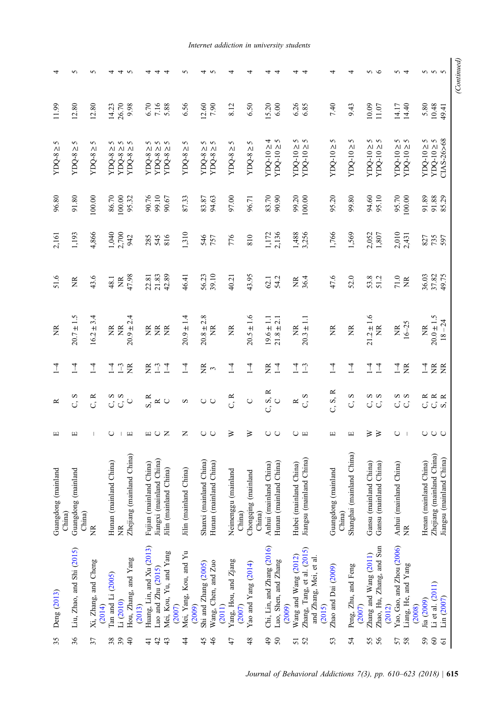| 6.26<br>6.85<br>26.70<br>7.16<br>6.56<br>14.40<br>5.80<br>10.48<br>9.98<br>6.70<br>5.88<br>12.60<br>7.90<br>8.12<br>6.50<br>15.20<br>6.00<br>7.40<br>9.43<br>10.09<br>14.17<br>12.80<br>14.23<br>11.07<br>49.41<br>CIAS-26>68<br>4<br>ς<br>δ<br>5<br>ς<br>δ<br><b>S</b> 5<br>$\begin{array}{l} \text{YDQ-10} \geq 5 \\ \text{YDQ-10} \geq 5 \end{array}$<br>5<br>5<br>5<br>$\sigma$<br>5<br>$\begin{array}{l} \text{YDQ-8} \geq 5 \\ \text{YDQ-8} \geq 5 \end{array}$<br>5<br>5<br>$\sim$<br>5<br><b>V</b> V<br>5<br>$YDQ-10 \ge$<br>$YDQ-10 \geq$<br>YDQ-10 ≥<br>$YDQ-10 \ge$<br>$YDO-10 \ge$<br>$YDQ-10 \ge$<br>YDQ-10≥<br>$YDQ-10 \ge$<br>$YDC-102$<br>$YDOQ-10 \geq$<br>$YDQ-8 \ge 3$<br>$YDO-8 \geq$<br>$YDQ-8 \geq$<br>$YDO-8 \geq$<br>$YDQ-8 \geq$<br>$YDO-8 \ge$<br>$YDO-8 \geq$<br>$YDO-8 \geq$<br>$YDO-8 \geq$<br>90.76<br>99.10<br>87.33<br>97.00<br>99.20<br>94.60<br>95.70<br>100.00<br>91.89<br>91.88<br>86.70<br>100.00<br>83.87<br>94.63<br>83.70<br>90.90<br>100.00<br>95.20<br>99.80<br>95.10<br>85.29<br>100.00<br>95.32<br>90.67<br>96.71<br>4,866<br>1,040<br>2,700<br>1,310<br>1,488<br>3,256<br>2,010<br>1,172<br>2,136<br>1,766<br>1,569<br>2,052<br>1,807<br>2,431<br>942<br>285<br>546<br>776<br>810<br>545<br>816<br>827<br>757<br>735<br>597 | 43.6<br>Ž<br>$20.7 \pm 1.5$ | 51.6<br>ž<br>$\overline{1}$<br>$\overline{1}$<br>C, S<br>≃ | $\begin{array}{c} \square \end{array}$ |
|--------------------------------------------------------------------------------------------------------------------------------------------------------------------------------------------------------------------------------------------------------------------------------------------------------------------------------------------------------------------------------------------------------------------------------------------------------------------------------------------------------------------------------------------------------------------------------------------------------------------------------------------------------------------------------------------------------------------------------------------------------------------------------------------------------------------------------------------------------------------------------------------------------------------------------------------------------------------------------------------------------------------------------------------------------------------------------------------------------------------------------------------------------------------------------------------------------------------------------------------------------------------------|-----------------------------|------------------------------------------------------------|----------------------------------------|
| 39.10<br>42.89<br>36.03<br>49.75<br>47.98<br>21.83<br>56.23<br>43.95<br>37.82<br>46.41<br>22.81<br>40.21<br>36.4<br>47.6<br>52.0<br>71.0<br>54.2<br>53.8<br>48.1<br>62.1<br>$\widetilde{\Xi}$<br>$\widetilde{\Xi}$<br>Ĕ                                                                                                                                                                                                                                                                                                                                                                                                                                                                                                                                                                                                                                                                                                                                                                                                                                                                                                                                                                                                                                                  | $16.2 \pm 3.4$              | $\overline{1}$<br>C, R                                     |                                        |
|                                                                                                                                                                                                                                                                                                                                                                                                                                                                                                                                                                                                                                                                                                                                                                                                                                                                                                                                                                                                                                                                                                                                                                                                                                                                          | $\widetilde{\Xi}$           | $\overline{1}$<br>C, S                                     | $\cup$                                 |
|                                                                                                                                                                                                                                                                                                                                                                                                                                                                                                                                                                                                                                                                                                                                                                                                                                                                                                                                                                                                                                                                                                                                                                                                                                                                          | $\widetilde{\Xi}$           | $1 - 3$<br>$\widetilde{\Xi}$                               |                                        |
|                                                                                                                                                                                                                                                                                                                                                                                                                                                                                                                                                                                                                                                                                                                                                                                                                                                                                                                                                                                                                                                                                                                                                                                                                                                                          | $20.9 \pm 2.4$              |                                                            | $\begin{array}{c} \square \end{array}$ |
|                                                                                                                                                                                                                                                                                                                                                                                                                                                                                                                                                                                                                                                                                                                                                                                                                                                                                                                                                                                                                                                                                                                                                                                                                                                                          | ž                           | ž<br>S, R                                                  | $\Box$                                 |
|                                                                                                                                                                                                                                                                                                                                                                                                                                                                                                                                                                                                                                                                                                                                                                                                                                                                                                                                                                                                                                                                                                                                                                                                                                                                          | ž                           | $\frac{1}{4}$<br>$\approx$ 0                               | $\cup$                                 |
|                                                                                                                                                                                                                                                                                                                                                                                                                                                                                                                                                                                                                                                                                                                                                                                                                                                                                                                                                                                                                                                                                                                                                                                                                                                                          | E                           |                                                            | Z                                      |
|                                                                                                                                                                                                                                                                                                                                                                                                                                                                                                                                                                                                                                                                                                                                                                                                                                                                                                                                                                                                                                                                                                                                                                                                                                                                          | $20.9 \pm 1.4$              | $\frac{4}{1}$<br>S                                         | Z                                      |
|                                                                                                                                                                                                                                                                                                                                                                                                                                                                                                                                                                                                                                                                                                                                                                                                                                                                                                                                                                                                                                                                                                                                                                                                                                                                          | $20.8 \pm 2.8$              | $\widetilde{\Xi}$<br>$\circ$                               | $\cup$                                 |
|                                                                                                                                                                                                                                                                                                                                                                                                                                                                                                                                                                                                                                                                                                                                                                                                                                                                                                                                                                                                                                                                                                                                                                                                                                                                          | Ĕ                           | $\tilde{\phantom{a}}$                                      | $\cup$                                 |
|                                                                                                                                                                                                                                                                                                                                                                                                                                                                                                                                                                                                                                                                                                                                                                                                                                                                                                                                                                                                                                                                                                                                                                                                                                                                          | ž                           | $\overline{1}$<br>C, R                                     | ≥                                      |
|                                                                                                                                                                                                                                                                                                                                                                                                                                                                                                                                                                                                                                                                                                                                                                                                                                                                                                                                                                                                                                                                                                                                                                                                                                                                          | $20.5 \pm 1.6$              | $\overline{1}$<br>$\bigcirc$                               | ≥                                      |
|                                                                                                                                                                                                                                                                                                                                                                                                                                                                                                                                                                                                                                                                                                                                                                                                                                                                                                                                                                                                                                                                                                                                                                                                                                                                          | $19.6 \pm 1.1$              | Ĕ<br>C, S, R                                               | $\cup$                                 |
|                                                                                                                                                                                                                                                                                                                                                                                                                                                                                                                                                                                                                                                                                                                                                                                                                                                                                                                                                                                                                                                                                                                                                                                                                                                                          | $21.8 \pm 2.1$              | $\overline{1}$                                             | $\circ$                                |
|                                                                                                                                                                                                                                                                                                                                                                                                                                                                                                                                                                                                                                                                                                                                                                                                                                                                                                                                                                                                                                                                                                                                                                                                                                                                          | $\widetilde{\Xi}$           | $\frac{1}{4}$ $\frac{1}{2}$<br>$\simeq$                    | O                                      |
|                                                                                                                                                                                                                                                                                                                                                                                                                                                                                                                                                                                                                                                                                                                                                                                                                                                                                                                                                                                                                                                                                                                                                                                                                                                                          | $20.3 \pm 1.1$              | C, S                                                       | $\boxed{\phantom{1}}$                  |
|                                                                                                                                                                                                                                                                                                                                                                                                                                                                                                                                                                                                                                                                                                                                                                                                                                                                                                                                                                                                                                                                                                                                                                                                                                                                          | $\widetilde{\Xi}$           | $\overline{1}$<br>C, S, R                                  | щ                                      |
|                                                                                                                                                                                                                                                                                                                                                                                                                                                                                                                                                                                                                                                                                                                                                                                                                                                                                                                                                                                                                                                                                                                                                                                                                                                                          | $\widetilde{\Xi}$           | $\overline{1}$<br>C, S                                     | $\begin{array}{c} \square \end{array}$ |
|                                                                                                                                                                                                                                                                                                                                                                                                                                                                                                                                                                                                                                                                                                                                                                                                                                                                                                                                                                                                                                                                                                                                                                                                                                                                          | $21.2 \pm 1.6$              | $\overline{1}$<br>ωw<br>じじ                                 | ≥                                      |
|                                                                                                                                                                                                                                                                                                                                                                                                                                                                                                                                                                                                                                                                                                                                                                                                                                                                                                                                                                                                                                                                                                                                                                                                                                                                          | $\widetilde{\Xi}$           | $\overline{1}$                                             | ≥                                      |
|                                                                                                                                                                                                                                                                                                                                                                                                                                                                                                                                                                                                                                                                                                                                                                                                                                                                                                                                                                                                                                                                                                                                                                                                                                                                          | $\widetilde{\Xi}$           | $\overline{1}$<br>ΩW<br>ပံပ                                | $\cup$                                 |
|                                                                                                                                                                                                                                                                                                                                                                                                                                                                                                                                                                                                                                                                                                                                                                                                                                                                                                                                                                                                                                                                                                                                                                                                                                                                          | $16 - 25$                   | $\widetilde{\Xi}$                                          |                                        |
|                                                                                                                                                                                                                                                                                                                                                                                                                                                                                                                                                                                                                                                                                                                                                                                                                                                                                                                                                                                                                                                                                                                                                                                                                                                                          | $\widetilde{\Xi}$           | $\overline{1}$<br>S                                        | $\cup$                                 |
|                                                                                                                                                                                                                                                                                                                                                                                                                                                                                                                                                                                                                                                                                                                                                                                                                                                                                                                                                                                                                                                                                                                                                                                                                                                                          | $20.0\pm1.5$                | <b>登</b><br>$\propto \propto \propto$<br>$\circ$           | $\cup$                                 |
|                                                                                                                                                                                                                                                                                                                                                                                                                                                                                                                                                                                                                                                                                                                                                                                                                                                                                                                                                                                                                                                                                                                                                                                                                                                                          | $18 - 24$                   | ທົ                                                         | $\cup$                                 |

# Internet addiction in university students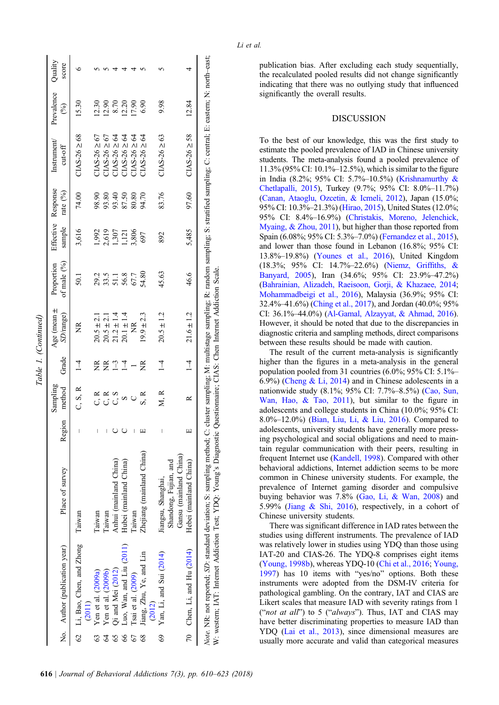|               | No. Author (publication year)                                                                                                                                                                                                                                            | Place of survey                                 | Region              | Sampling<br>method | Grade              | Age (mean $\pm$<br>SD/range)                        | of male $(\%)$<br>Proportion | sample                  | Effective Response<br>rate $(^{9}/_{0})$ | Instrument<br>$cut-off$ | Prevalence<br>$\mathcal{E}$ | Quality<br>score |
|---------------|--------------------------------------------------------------------------------------------------------------------------------------------------------------------------------------------------------------------------------------------------------------------------|-------------------------------------------------|---------------------|--------------------|--------------------|-----------------------------------------------------|------------------------------|-------------------------|------------------------------------------|-------------------------|-----------------------------|------------------|
|               | 62 Li, Bao, Chen, and Zhong                                                                                                                                                                                                                                              | Taiwan                                          |                     | C, S, R            | $\overline{\perp}$ | $\widetilde{\Xi}$                                   | $\overline{50}$              | 3,616                   | 74.00                                    | $CIAS-26 \geq 68$       | 15.30                       |                  |
|               | Yen et al. (2009a)<br>(2011)                                                                                                                                                                                                                                             | Taiwan                                          |                     | ς κ                | 受                  | $20.5 \pm 2.1$                                      |                              | 1,992                   | 98.90                                    | $71AS - 26 \ge 67$      | 12.30                       |                  |
|               | Yen et al. (2009b)                                                                                                                                                                                                                                                       | Taiwan                                          |                     | C, R               |                    | $20.5 \pm 2.1$                                      | 29.3<br>33.5                 |                         | 93.80                                    | $71AS - 26 \ge 67$      | 12.90                       |                  |
|               | Qi and Mei (2012)                                                                                                                                                                                                                                                        | Anhui (mainland China)                          | $r \wedge r \wedge$ | C, S               | E11                | $21.2 \pm 1.4$                                      | 51.1                         | 2,619<br>1,307<br>1,121 | 93.40                                    | $21AS - 26 \ge 64$      | 8.70                        |                  |
|               | Luo, Wan, and Liu (2011)                                                                                                                                                                                                                                                 | Hubei (mainland China)                          |                     | S                  |                    | $20.1 \pm 1.4$                                      | 56.8                         |                         | 87.50                                    | $21AS - 26 \ge 64$      | 12.20                       |                  |
|               | Isai et al. (2009)                                                                                                                                                                                                                                                       | nswan                                           |                     |                    |                    | ž                                                   | 67.7                         | 3,806                   | 80.80                                    | $21AS - 26 \ge 64$      | 17.90                       |                  |
| $\frac{8}{3}$ | Jiang, Zhu, Ye, and Lin<br>(2012)                                                                                                                                                                                                                                        | Zhejiang (mainland China)                       |                     | S, R               | ž                  | $19.9 \pm 2.3$                                      | 54.80                        | 697                     | 94.70                                    | $21AS - 26 \ge 64$      | 6.90                        |                  |
| 8             | Yan, Li, and Sui (2014)                                                                                                                                                                                                                                                  | Jiangsu, Shanghai,                              |                     | M, R               | $\frac{1}{4}$      | $20.5 \pm 1.2$                                      | 45.63                        | 892                     | 83.76                                    | $C1AS - 26 \ge 63$      | 9.98                        |                  |
|               |                                                                                                                                                                                                                                                                          | Gansu (mainland China)<br>Shandong, Fujian, and |                     |                    |                    |                                                     |                              |                         |                                          |                         |                             |                  |
|               | 70 Chen, Li, and Hu (2014)                                                                                                                                                                                                                                               | Hebei (mainland China)                          |                     | $\approx$          | $\frac{1}{1}$      | $21.6 \pm 1.2$                                      | 46.6                         | 5,485                   | 97.60                                    | $CIAS-26 \geq 58$       | 12.84                       |                  |
|               | Note. NR: not reported; SD: standard deviation; S: sampling method; C: cluster sampling; M: multistage sampling; R: random sampling; S: stratified sampling; C: central; E: eastern; N: north-east;<br>W: western; IAT: Internet Addiction Test; YDQ: Young's Diagnostic |                                                 |                     |                    |                    | Questionnaire; CIAS: Chen Internet Addiction Scale. |                              |                         |                                          |                         |                             |                  |

Table 1. (Continued)

[able 1. (Continued)

publication bias. After excluding each study sequentially, the recalculated pooled results did not change significantly indicating that there was no outlying study that influenced significantly the overall results.

# DISCUSSION

To the best of our knowledge, this was the first study to estimate the pooled prevalence of IAD in Chinese university students. The meta-analysis found a pooled prevalence of 11.3% (95% CI: 10.1%–12.5%), which is similar to the figure in India (8.2%; 95% CI: 5.7%–10.5%) [\(Krishnamurthy &](#page-13-0) [Chetlapalli, 2015\)](#page-13-0), Turkey (9.7%; 95% CI: 8.0%–11.7%) ([Canan, Ataoglu, Ozcetin, & Icmeli, 2012](#page-12-0)), Japan (15.0%; 95% CI: 10.3%–21.3%) [\(Hirao, 2015](#page-13-0)), United States (12.0%; 95% CI: 8.4%–16.9%) [\(Christakis, Moreno, Jelenchick,](#page-12-0) [Myaing, & Zhou, 2011\)](#page-12-0), but higher than those reported from Spain (6.08%; 95% CI: 5.3%–7.0%) [\(Fernandez et al., 2015](#page-13-0)), and lower than those found in Lebanon (16.8%; 95% CI: 13.8%–19.8%) ([Younes et al., 2016](#page-15-0)), United Kingdom (18.3%; 95% CI: 14.7%–22.6%) ([Niemz, Grif](#page-14-0)fiths, & [Banyard, 2005\)](#page-14-0), Iran (34.6%; 95% CI: 23.9%–47.2%) ([Bahrainian, Alizadeh, Raeisoon, Gorji, & Khazaee, 2014](#page-12-0); [Mohammadbeigi et al., 2016](#page-14-0)), Malaysia (36.9%; 95% CI: 32.4%–41.6%) ([Ching et al., 2017\)](#page-12-0), and Jordan (40.0%; 95% CI: 36.1%–44.0%) ([Al-Gamal, Alzayyat, & Ahmad, 2016](#page-12-0)). However, it should be noted that due to the discrepancies in diagnostic criteria and sampling methods, direct comparisons between these results should be made with caution.

The result of the current meta-analysis is significantly higher than the figures in a meta-analysis in the general population pooled from 31 countries (6.0%; 95% CI: 5.1%– 6.9%) ([Cheng & Li, 2014\)](#page-12-0) and in Chinese adolescents in a nationwide study (8.1%; 95% CI: 7.7%–8.5%) ([Cao, Sun,](#page-12-0) [Wan, Hao, & Tao, 2011\)](#page-12-0), but similar to the figure in adolescents and college students in China (10.0%; 95% CI: 8.0%–12.0%) ([Bian, Liu, Li, & Liu, 2016](#page-12-0)). Compared to adolescents, university students have generally more pressing psychological and social obligations and need to maintain regular communication with their peers, resulting in frequent Internet use ([Kandell, 1998](#page-13-0)). Compared with other behavioral addictions, Internet addiction seems to be more common in Chinese university students. For example, the prevalence of Internet gaming disorder and compulsive buying behavior was 7.8% ([Gao, Li, & Wan, 2008](#page-13-0)) and 5.99% [\(Jiang & Shi, 2016\)](#page-13-0), respectively, in a cohort of Chinese university students.

There was significant difference in IAD rates between the studies using different instruments. The prevalence of IAD was relatively lower in studies using YDQ than those using IAT-20 and CIAS-26. The YDQ-8 comprises eight items ([Young, 1998b\)](#page-16-0), whereas YDQ-10 [\(Chi et al., 2016;](#page-12-0) [Young,](#page-15-0) [1997\)](#page-15-0) has 10 items with "yes/no" options. Both these instruments were adopted from the DSM-IV criteria for pathological gambling. On the contrary, IAT and CIAS are Likert scales that measure IAD with severity ratings from 1 ("not at all") to 5 ("always"). Thus, IAT and CIAS may have better discriminating properties to measure IAD than YDQ [\(Lai et al., 2013](#page-13-0)), since dimensional measures are usually more accurate and valid than categorical measures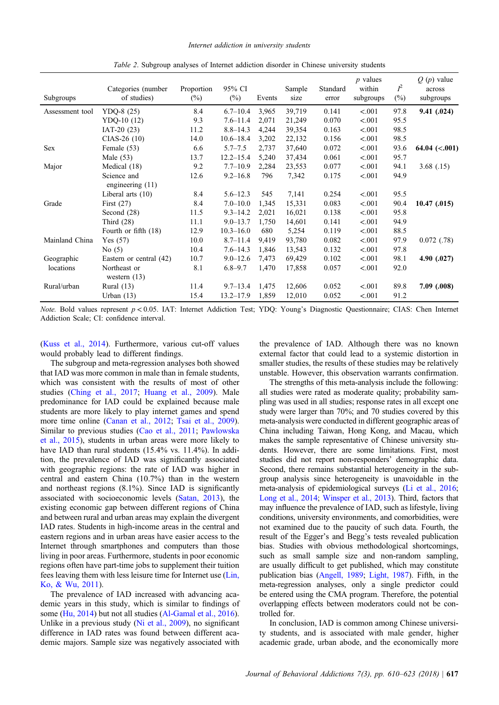<span id="page-10-0"></span>

| Subgroups       | Categories (number<br>of studies) | Proportion<br>$(\%)$ | 95% CI<br>$(\%)$ | Events | Sample<br>size | Standard<br>error | $p$ values<br>within<br>subgroups | $I^2$<br>$(\%)$ | $Q(p)$ value<br>across<br>subgroups |
|-----------------|-----------------------------------|----------------------|------------------|--------|----------------|-------------------|-----------------------------------|-----------------|-------------------------------------|
| Assessment tool | YDQ-8 $(25)$                      | 8.4                  | $6.7 - 10.4$     | 3,965  | 39,719         | 0.141             | < .001                            | 97.8            | 9.41(0.024)                         |
|                 | $YDQ-10(12)$                      | 9.3                  | $7.6 - 11.4$     | 2,071  | 21,249         | 0.070             | < .001                            | 95.5            |                                     |
|                 | $IAT-20(23)$                      | 11.2                 | $8.8 - 14.3$     | 4,244  | 39,354         | 0.163             | < .001                            | 98.5            |                                     |
|                 | $CIAS-26(10)$                     | 14.0                 | $10.6 - 18.4$    | 3,202  | 22,132         | 0.156             | < .001                            | 98.5            |                                     |
| <b>Sex</b>      | Female (53)                       | 6.6                  | $5.7 - 7.5$      | 2,737  | 37,640         | 0.072             | < .001                            | 93.6            | 64.04 $(<.001)$                     |
|                 | Male $(53)$                       | 13.7                 | $12.2 - 15.4$    | 5,240  | 37,434         | 0.061             | < .001                            | 95.7            |                                     |
| Major           | Medical (18)                      | 9.2                  | $7.7 - 10.9$     | 2,284  | 23,553         | 0.077             | < .001                            | 94.1            | 3.68(0.15)                          |
|                 | Science and<br>engineering $(11)$ | 12.6                 | $9.2 - 16.8$     | 796    | 7,342          | 0.175             | < .001                            | 94.9            |                                     |
|                 | Liberal arts $(10)$               | 8.4                  | $5.6 - 12.3$     | 545    | 7,141          | 0.254             | < .001                            | 95.5            |                                     |
| Grade           | First $(27)$                      | 8.4                  | $7.0 - 10.0$     | 1,345  | 15,331         | 0.083             | < .001                            | 90.4            | $10.47$ (.015)                      |
|                 | Second $(28)$                     | 11.5                 | $9.3 - 14.2$     | 2,021  | 16,021         | 0.138             | < .001                            | 95.8            |                                     |
|                 | Third $(28)$                      | 11.1                 | $9.0 - 13.7$     | 1,750  | 14,601         | 0.141             | < .001                            | 94.9            |                                     |
|                 | Fourth or fifth (18)              | 12.9                 | $10.3 - 16.0$    | 680    | 5,254          | 0.119             | < .001                            | 88.5            |                                     |
| Mainland China  | Yes $(57)$                        | 10.0                 | $8.7 - 11.4$     | 9,419  | 93,780         | 0.082             | < .001                            | 97.9            | 0.072(0.78)                         |
|                 | No $(5)$                          | 10.4                 | $7.6 - 14.3$     | 1,846  | 13,543         | 0.132             | < .001                            | 97.8            |                                     |
| Geographic      | Eastern or central (42)           | 10.7                 | $9.0 - 12.6$     | 7,473  | 69,429         | 0.102             | < .001                            | 98.1            | 4.90(0.027)                         |
| locations       | Northeast or<br>western $(13)$    | 8.1                  | $6.8 - 9.7$      | 1,470  | 17,858         | 0.057             | < .001                            | 92.0            |                                     |
| Rural/urban     | Rural $(13)$                      | 11.4                 | $9.7 - 13.4$     | 1,475  | 12,606         | 0.052             | < 0.001                           | 89.8            | 7.09(0.008)                         |
|                 | Urban $(13)$                      | 15.4                 | $13.2 - 17.9$    | 1,859  | 12,010         | 0.052             | < .001                            | 91.2            |                                     |

Table 2. Subgroup analyses of Internet addiction disorder in Chinese university students

Note. Bold values represent  $p < 0.05$ . IAT: Internet Addiction Test; YDQ: Young's Diagnostic Questionnaire; CIAS: Chen Internet Addiction Scale; CI: confidence interval.

[\(Kuss et al., 2014](#page-13-0)). Furthermore, various cut-off values would probably lead to different findings.

The subgroup and meta-regression analyses both showed that IAD was more common in male than in female students, which was consistent with the results of most of other studies [\(Ching et al., 2017](#page-12-0); [Huang et al., 2009](#page-13-0)). Male predominance for IAD could be explained because male students are more likely to play internet games and spend more time online ([Canan et al., 2012](#page-12-0); [Tsai et al., 2009\)](#page-15-0). Similar to previous studies [\(Cao et al., 2011;](#page-12-0) [Pawlowska](#page-14-0) [et al., 2015](#page-14-0)), students in urban areas were more likely to have IAD than rural students (15.4% vs. 11.4%). In addition, the prevalence of IAD was significantly associated with geographic regions: the rate of IAD was higher in central and eastern China (10.7%) than in the western and northeast regions (8.1%). Since IAD is significantly associated with socioeconomic levels ([Satan, 2013\)](#page-15-0), the existing economic gap between different regions of China and between rural and urban areas may explain the divergent IAD rates. Students in high-income areas in the central and eastern regions and in urban areas have easier access to the Internet through smartphones and computers than those living in poor areas. Furthermore, students in poor economic regions often have part-time jobs to supplement their tuition fees leaving them with less leisure time for Internet use [\(Lin,](#page-14-0) [Ko, & Wu, 2011](#page-14-0)).

The prevalence of IAD increased with advancing academic years in this study, which is similar to findings of some ([Hu, 2014](#page-13-0)) but not all studies ([Al-Gamal et al., 2016\)](#page-12-0). Unlike in a previous study ([Ni et al., 2009\)](#page-14-0), no significant difference in IAD rates was found between different academic majors. Sample size was negatively associated with

the prevalence of IAD. Although there was no known external factor that could lead to a systemic distortion in smaller studies, the results of these studies may be relatively unstable. However, this observation warrants confirmation.

The strengths of this meta-analysis include the following: all studies were rated as moderate quality; probability sampling was used in all studies; response rates in all except one study were larger than 70%; and 70 studies covered by this meta-analysis were conducted in different geographic areas of China including Taiwan, Hong Kong, and Macau, which makes the sample representative of Chinese university students. However, there are some limitations. First, most studies did not report non-responders' demographic data. Second, there remains substantial heterogeneity in the subgroup analysis since heterogeneity is unavoidable in the meta-analysis of epidemiological surveys [\(Li et al., 2016](#page-14-0); [Long et al., 2014;](#page-14-0) [Winsper et al., 2013\)](#page-15-0). Third, factors that may influence the prevalence of IAD, such as lifestyle, living conditions, university environments, and comorbidities, were not examined due to the paucity of such data. Fourth, the result of the Egger's and Begg's tests revealed publication bias. Studies with obvious methodological shortcomings, such as small sample size and non-random sampling, are usually difficult to get published, which may constitute publication bias ([Angell, 1989](#page-12-0); [Light, 1987\)](#page-14-0). Fifth, in the meta-regression analyses, only a single predictor could be entered using the CMA program. Therefore, the potential overlapping effects between moderators could not be controlled for.

In conclusion, IAD is common among Chinese university students, and is associated with male gender, higher academic grade, urban abode, and the economically more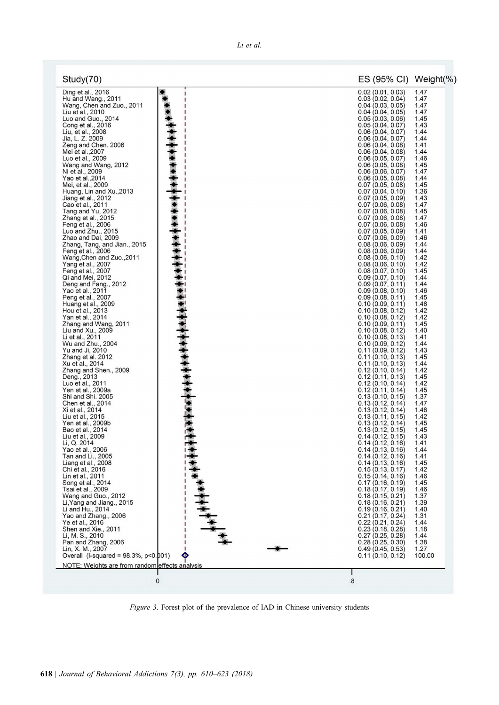<span id="page-11-0"></span>

| Study(70)                                                            |                      | ES (95% CI) Weight(%)                                       |                      |
|----------------------------------------------------------------------|----------------------|-------------------------------------------------------------|----------------------|
| Ding et al., 2016<br>Hu and Wang., 2011<br>Wang, Chen and Zuo., 2011 |                      | 0.02(0.01, 0.03)<br>0.03(0.02, 0.04)<br>$0.04$ (0.03, 0.05) | 1.47<br>1.47<br>1.47 |
| Liu et al., 2010                                                     |                      | 0.04(0.04, 0.05)                                            | 1.47                 |
| Luo and Guo., 2014                                                   |                      | 0.05(0.03, 0.06)                                            | 1.45                 |
| Cong et al., 2016<br>Liu, et al., 2008                               |                      | 0.05(0.04, 0.07)<br>0.06(0.04, 0.07)                        | 1.43<br>1.44         |
| Jia, L. Z. 2009                                                      |                      | 0.06(0.04, 0.07)                                            | 1.44                 |
| Zeng and Chen. 2006                                                  |                      | 0.06(0.04, 0.08)                                            | 1.41                 |
| Mei et al., 2007                                                     |                      | 0.06(0.04, 0.08)                                            | 1.44                 |
| Luo et al., 2009<br>Wang and Wang, 2012                              |                      | 0.06(0.05, 0.07)<br>0.06(0.05, 0.08)                        | 1.46<br>1.45         |
| Ni et al., 2009                                                      |                      | 0.06(0.06, 0.07)                                            | 1.47                 |
| Yao et al., 2014                                                     |                      | 0.06(0.05, 0.08)                                            | 1.44                 |
| Mei, et al., 2009                                                    |                      | 0.07(0.05, 0.08)                                            | 1.45                 |
| Huang, Lin and Xu., 2013<br>Jiang et al., 2012                       |                      | 0.07(0.04, 0.10)<br>0.07(0.05, 0.09)                        | 1.36<br>1.43         |
| Cao et al., 2011                                                     |                      | 0.07(0.06, 0.08)                                            | 1.47                 |
| Tang and Yu, 2012                                                    |                      | 0.07(0.06, 0.08)                                            | 1.45                 |
| Zhang et al., 2015                                                   |                      | 0.07(0.06, 0.08)                                            | 1.47                 |
| Feng et al., 2006<br>Luo and Zhu., 2015                              |                      | 0.07(0.06, 0.08)<br>0.07(0.05, 0.09)                        | 1.46<br>1.41         |
| Zhao and Dai, 2009                                                   |                      | 0.07(0.06, 0.09)                                            | 1.46                 |
| Zhang, Tang, and Jian., 2015                                         |                      | 0.08(0.06, 0.09)                                            | 1.44                 |
| Feng et al., 2006                                                    |                      | 0.08(0.06, 0.09)                                            | 1.44                 |
| Wang, Chen and Zuo., 2011<br>Yang et al., 2007                       |                      | 0.08(0.06, 0.10)<br>0.08(0.06, 0.10)                        | 1.42<br>1.42         |
| Feng et al., 2007                                                    |                      | 0.08(0.07, 0.10)                                            | 1.45                 |
| Qi and Mei, 2012                                                     |                      | 0.09(0.07, 0.10)                                            | 1.44                 |
| Deng and Fang., 2012                                                 |                      | 0.09(0.07, 0.11)                                            | 1.44                 |
| Yao et al., 2011<br>Peng et al., 2007                                |                      | 0.09(0.08, 0.10)<br>0.09(0.08, 0.11)                        | 1.46<br>1.45         |
| Huang et al., 2009                                                   |                      | 0.10(0.09, 0.11)                                            | 1.46                 |
| Hou et al., 2013                                                     |                      | 0.10(0.08, 0.12)                                            | 1.42                 |
| Yan et al., 2014                                                     |                      | 0.10(0.08, 0.12)                                            | 1.42                 |
| Zhang and Wang, 2011<br>Liu and Xu., 2009                            |                      | 0.10(0.09, 0.11)<br>0.10(0.08, 0.12)                        | 1.45<br>1.40         |
| Li et al., 2011                                                      |                      | 0.10(0.08, 0.13)                                            | 1.41                 |
| Wu and Zhu., 2004                                                    | <b>THORNAPHATELY</b> | 0.10(0.09, 0.12)                                            | 1.44                 |
| Yu and Ji, 2010<br>Zhang et al. 2012                                 |                      | 0.11(0.09, 0.12)                                            | 1.43<br>1.45         |
| Xu et al., 2014                                                      |                      | 0.11(0.10, 0.13)<br>0.11(0.10, 0.13)                        | 1.44                 |
| Zhang and Shen., 2009                                                |                      | 0.12(0.10, 0.14)                                            | 1.42                 |
| Deng., 2013                                                          |                      | 0.12(0.11, 0.13)                                            | 1.45                 |
| Luo et al., 2011<br>Yen et al., 2009a                                |                      | 0.12(0.10, 0.14)<br>0.12(0.11, 0.14)                        | 1.42<br>1.45         |
| Shi and Shi. 2005                                                    |                      | 0.13(0.10, 0.15)                                            | 1.37                 |
| Chen et al., 2014                                                    |                      | 0.13(0.12, 0.14)                                            | 1.47                 |
| Xi et al., 2014                                                      |                      | 0.13(0.12, 0.14)                                            | 1.46                 |
| Liu et al., 2015<br>Yen et al., 2009b                                |                      | 0.13(0.11, 0.15)<br>0.13(0.12, 0.14)                        | 1.42<br>1.45         |
| Bao et al., 2014                                                     |                      | 0.13(0.12, 0.15)                                            | 1.45                 |
| Liu et al., 2009                                                     |                      | 0.14(0.12, 0.15)                                            | 1.43                 |
| Li, Q. 2014<br>Yao et al., 2006                                      |                      | 0.14(0.12, 0.16)<br>0.14(0.13, 0.16)                        | 1.41<br>1.44         |
| Tan and Li., 2005                                                    |                      | 0.14(0.12, 0.16)                                            | 1.41                 |
| Liang et al., 2008                                                   |                      | 0.14(0.13, 0.16)                                            | 1.45                 |
| Chi et al., 2016                                                     |                      | 0.15(0.13, 0.17)                                            | 1.42                 |
| Lin et al., 2011<br>Song et al., 2014                                |                      | 0.15(0.14, 0.16)<br>0.17(0.16, 0.19)                        | 1.46<br>1.45         |
| Tsai et al., 2009                                                    |                      | 0.18(0.17, 0.19)                                            | 1.46                 |
| Wang and Guo., 2012                                                  | $+ + + + + +$        | 0.18(0.15, 0.21)                                            | 1.37                 |
| Li, Yang and Jiang., 2015                                            |                      | 0.18(0.16, 0.21)                                            | 1.39                 |
| Li and Hu., 2014<br>Yao and Zhang., 2006                             |                      | 0.19(0.16, 0.21)<br>0.21(0.17, 0.24)                        | 1.40<br>1.31         |
| Ye et al., 2016                                                      |                      | 0.22(0.21, 0.24)                                            | 1.44                 |
| Shen and Xie., 2011                                                  |                      | 0.23(0.18, 0.28)                                            | 1.18                 |
| Li, M. S., 2010                                                      |                      | 0.27(0.25, 0.28)                                            | 1.44                 |
| Pan and Zhang, 2006<br>Lin, X. M., 2007                              |                      | 0.28(0.25, 0.30)<br>0.49(0.45, 0.53)                        | 1.38<br>1.27         |
| Overall (I-squared = $98.3\%$ , $p<0.001$ )                          |                      | 0.11(0.10, 0.12)                                            | 100.00               |
| NOTE: Weights are from random effects analysis                       |                      |                                                             |                      |
|                                                                      |                      |                                                             |                      |
|                                                                      | 0                    | $\boldsymbol{.8}$                                           |                      |
|                                                                      |                      |                                                             |                      |

Figure 3. Forest plot of the prevalence of IAD in Chinese university students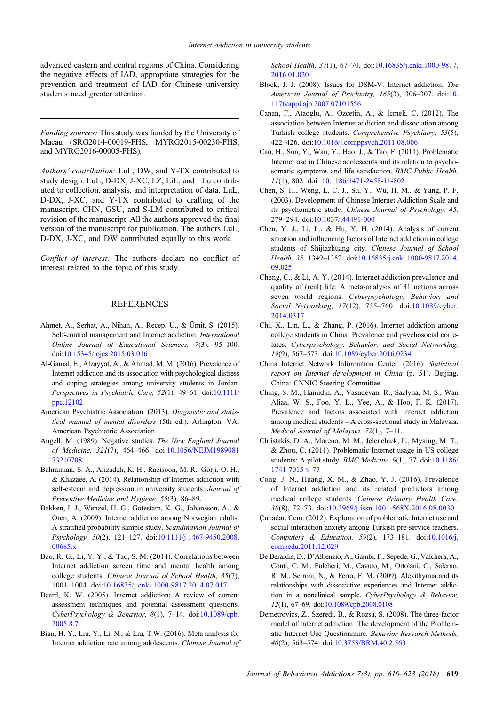<span id="page-12-0"></span>advanced eastern and central regions of China. Considering the negative effects of IAD, appropriate strategies for the prevention and treatment of IAD for Chinese university students need greater attention.

Funding sources: This study was funded by the University of Macau (SRG2014-00019-FHS, MYRG2015-00230-FHS, and MYRG2016-00005-FHS).

Authors' contribution: LuL, DW, and Y-TX contributed to study design. LuL, D-DX, J-XC, LZ, LiL, and LLu contributed to collection, analysis, and interpretation of data. LuL, D-DX, J-XC, and Y-TX contributed to drafting of the manuscript. CHN, GSU, and S-LM contributed to critical revision of the manuscript. All the authors approved the final version of the manuscript for publication. The authors LuL, D-DX, J-XC, and DW contributed equally to this work.

Conflict of interest: The authors declare no conflict of interest related to the topic of this study.

# **REFERENCES**

- Ahmet, A., Serhat, A., Nihan, A., Recep, U., & Ümit, S. (2015). Self-control management and Internet addiction. International Online Journal of Educational Sciences, 7(3), 95–100. doi:[10.15345/iojes.2015.03.016](http://dx.doi.org/10.15345/iojes.2015.03.016)
- Al-Gamal, E., Alzayyat, A., & Ahmad, M. M. (2016). Prevalence of Internet addiction and its association with psychological distress and coping strategies among university students in Jordan. Perspectives in Psychiatric Care, 52(1), 49–61. doi:[10.1111/](http://dx.doi.org/10.1111/ppc.12102) [ppc.12102](http://dx.doi.org/10.1111/ppc.12102)
- American Psychiatric Association. (2013). Diagnostic and statistical manual of mental disorders (5th ed.). Arlington, VA: American Psychiatric Association.
- Angell, M. (1989). Negative studies. The New England Journal of Medicine, 321(7), 464–466. doi[:10.1056/NEJM1989081](http://dx.doi.org/10.1056/NEJM198908173210708) [73210708](http://dx.doi.org/10.1056/NEJM198908173210708)
- Bahrainian, S. A., Alizadeh, K. H., Raeisoon, M. R., Gorji, O. H., & Khazaee, A. (2014). Relationship of Internet addiction with self-esteem and depression in university students. Journal of Preventive Medicine and Hygiene, 55(3), 86–89.
- Bakken, I. J., Wenzel, H. G., Gotestam, K. G., Johansson, A., & Oren, A. (2009). Internet addiction among Norwegian adults: A stratified probability sample study. Scandinavian Journal of Psychology, 50(2), 121–127. doi:[10.1111/j.1467-9450.2008.](http://dx.doi.org/10.1111/j.1467-9450.2008.00685.x) [00685.x](http://dx.doi.org/10.1111/j.1467-9450.2008.00685.x)
- Bao, R. G., Li, Y. Y., & Tao, S. M. (2014). Correlations between Internet addiction screen time and mental health among college students. Chinese Journal of School Health, 35(7), 1001–1004. doi:[10.16835/j.cnki.1000-9817.2014.07.017](http://dx.doi.org/10.16835/j.cnki.1000-9817.2014.07.017)
- Beard, K. W. (2005). Internet addiction: A review of current assessment techniques and potential assessment questions. CyberPsychology & Behavior, 8(1), 7–14. doi:[10.1089/cpb.](http://dx.doi.org/10.1089/cpb.2005.8.7) [2005.8.7](http://dx.doi.org/10.1089/cpb.2005.8.7)
- Bian, H. Y., Liu, Y., Li, N., & Liu, T.W. (2016). Meta analysis for Internet addiction rate among adolescents. Chinese Journal of

School Health, 37(1), 67–70. doi:[10.16835/j.cnki.1000-9817.](http://dx.doi.org/10.16835/j.cnki.1000-9817.2016.01.020) [2016.01.020](http://dx.doi.org/10.16835/j.cnki.1000-9817.2016.01.020)

- Block, J. J. (2008). Issues for DSM-V: Internet addiction. The American Journal of Psychiatry, 165(3), 306-307. doi:[10.](http://dx.doi.org/10.1176/appi.ajp.2007.07101556) [1176/appi.ajp.2007.07101556](http://dx.doi.org/10.1176/appi.ajp.2007.07101556)
- Canan, F., Ataoglu, A., Ozcetin, A., & Icmeli, C. (2012). The association between Internet addiction and dissociation among Turkish college students. Comprehensive Psychiatry, 53(5), 422–426. doi[:10.1016/j.comppsych.2011.08.006](http://dx.doi.org/10.1016/j.comppsych.2011.08.006)
- Cao, H., Sun, Y., Wan, Y., Hao, J., & Tao, F. (2011). Problematic Internet use in Chinese adolescents and its relation to psychosomatic symptoms and life satisfaction. BMC Public Health, 11(1), 802. doi: [10.1186/1471-2458-11-802](http://dx.doi.org/10.1186/1471-2458-11-802)
- Chen, S. H., Weng, L. C. J., Su, Y., Wu, H. M., & Yang, P. F. (2003). Development of Chinese Internet Addiction Scale and its psychometric study. Chinese Journal of Psychology, 45, 279–294. doi[:10.1037/t44491-000](http://dx.doi.org/10.1037/t44491-000)
- Chen, Y. J., Li, L., & Hu, Y. H. (2014). Analysis of current situation and influencing factors of Internet addiction in college students of Shijiazhuang city. Chinese Journal of School Health, 35, 1349–1352. doi[:10.16835/j.cnki.1000-9817.2014.](http://dx.doi.org/10.16835/j.cnki.1000-9817.2014.09.025) [09.025](http://dx.doi.org/10.16835/j.cnki.1000-9817.2014.09.025)
- Cheng, C., & Li, A. Y. (2014). Internet addiction prevalence and quality of (real) life: A meta-analysis of 31 nations across seven world regions. Cyberpsychology, Behavior, and Social Networking, 17(12), 755–760. doi[:10.1089/cyber.](http://dx.doi.org/10.1089/cyber.2014.0317) [2014.0317](http://dx.doi.org/10.1089/cyber.2014.0317)
- Chi, X., Lin, L., & Zhang, P. (2016). Internet addiction among college students in China: Prevalence and psychosocial correlates. Cyberpsychology, Behavior, and Social Networking, 19(9), 567–573. doi:[10.1089/cyber.2016.0234](http://dx.doi.org/10.1089/cyber.2016.0234)
- China Internet Network Information Center. (2016). Statistical report on Internet development in China (p. 51). Beijing, China: CNNIC Steering Committee.
- Ching, S. M., Hamidin, A., Vasudevan, R., Sazlyna, M. S., Wan Aliaa, W. S., Foo, Y. L., Yee, A., & Hoo, F. K. (2017). Prevalence and factors associated with Internet addiction among medical students – A cross-sectional study in Malaysia. Medical Journal of Malaysia, 72(1), 7–11.
- Christakis, D. A., Moreno, M. M., Jelenchick, L., Myaing, M. T., & Zhou, C. (2011). Problematic Internet usage in US college students: A pilot study. BMC Medicine, 9(1), 77. doi[:10.1186/](http://dx.doi.org/10.1186/1741-7015-9-77) [1741-7015-9-77](http://dx.doi.org/10.1186/1741-7015-9-77)
- Cong, J. N., Huang, X. M., & Zhao, Y. J. (2016). Prevalence of Internet addiction and its related predictors among medical college students. Chinese Primary Health Care, 30(8), 72–73. doi:[10.3969/j.issn.1001-568X.2016.08.0030](http://dx.doi.org/10.3969/j.issn.1001-568X.2016.08.0030)
- Çuhadar, Cem. (2012). Exploration of problematic Internet use and social interaction anxiety among Turkish pre-service teachers. Computers & Education, 59(2), 173–181. doi:[10.1016/j.](http://dx.doi.org/10.1016/j.compedu.2011.12.029) [compedu.2011.12.029](http://dx.doi.org/10.1016/j.compedu.2011.12.029)
- De Berardis, D., D'Albenzio, A., Gambi, F., Sepede, G., Valchera, A., Conti, C. M., Fulcheri, M., Cavuto, M., Ortolani, C., Salerno, R. M., Serroni, N., & Ferro, F. M. (2009). Alexithymia and its relationships with dissociative experiences and Internet addiction in a nonclinical sample. CyberPsychology & Behavior, 12(1), 67–69. doi[:10.1089/cpb.2008.0108](http://dx.doi.org/10.1089/cpb.2008.0108)
- Demetrovics, Z., Szeredi, B., & Rozsa, S. (2008). The three-factor model of Internet addiction: The development of the Problematic Internet Use Questionnaire. Behavior Research Methods, 40(2), 563–574. doi:[10.3758/BRM.40.2.563](http://dx.doi.org/10.3758/BRM.40.2.563)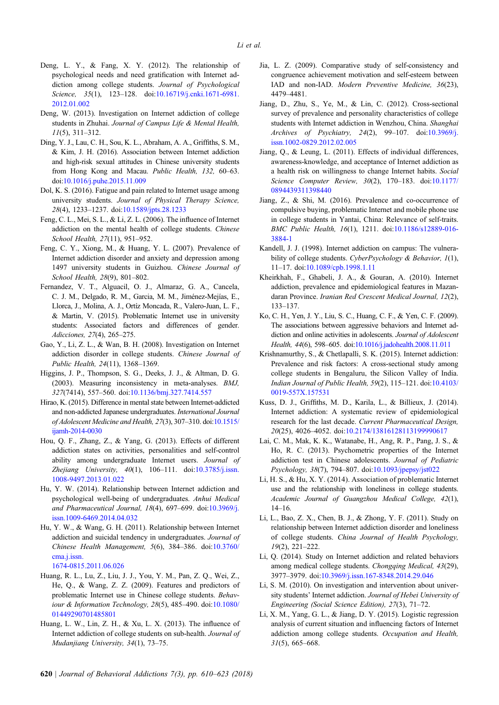- <span id="page-13-0"></span>Deng, L. Y., & Fang, X. Y. (2012). The relationship of psychological needs and need gratification with Internet addiction among college students. Journal of Psychological Science, 35(1), 123-128. doi[:10.16719/j.cnki.1671-6981.](http://dx.doi.org/10.16719/j.cnki.1671-6981.2012.01.002) [2012.01.002](http://dx.doi.org/10.16719/j.cnki.1671-6981.2012.01.002)
- Deng, W. (2013). Investigation on Internet addiction of college students in Zhuhai. Journal of Campus Life & Mental Health, 11(5), 311–312.
- Ding, Y. J., Lau, C. H., Sou, K. L., Abraham, A. A., Griffiths, S. M., & Kim, J. H. (2016). Association between Internet addiction and high-risk sexual attitudes in Chinese university students from Hong Kong and Macau. Public Health, 132, 60–63. doi:[10.1016/j.puhe.2015.11.009](http://dx.doi.org/10.1016/j.puhe.2015.11.009)
- Dol, K. S. (2016). Fatigue and pain related to Internet usage among university students. Journal of Physical Therapy Science, 28(4), 1233–1237. doi[:10.1589/jpts.28.1233](http://dx.doi.org/10.1589/jpts.28.1233)
- Feng, C. L., Mei, S. L., & Li, Z. L. (2006). The influence of Internet addiction on the mental health of college students. Chinese School Health, 27(11), 951–952.
- Feng, C. Y., Xiong, M., & Huang, Y. L. (2007). Prevalence of Internet addiction disorder and anxiety and depression among 1497 university students in Guizhou. Chinese Journal of School Health, 28(9), 801–802.
- Fernandez, V. T., Alguacil, O. J., Almaraz, G. A., Cancela, C. J. M., Delgado, R. M., Garcia, M. M., Jiménez-Mejías, E., Llorca, J., Molina, A. J., Ortíz Moncada, R., Valero-Juan, L. F., & Martin, V. (2015). Problematic Internet use in university students: Associated factors and differences of gender. Adicciones, 27(4), 265–275.
- Gao, Y., Li, Z. L., & Wan, B. H. (2008). Investigation on Internet addiction disorder in college students. Chinese Journal of Public Health, 24(11), 1368–1369.
- Higgins, J. P., Thompson, S. G., Deeks, J. J., & Altman, D. G. (2003). Measuring inconsistency in meta-analyses. BMJ, 327(7414), 557–560. doi:[10.1136/bmj.327.7414.557](http://dx.doi.org/10.1136/bmj.327.7414.557)
- Hirao, K. (2015). Difference in mental state between Internet-addicted and non-addicted Japanese undergraduates. International Journal of Adolescent Medicine and Health, 27(3), 307–310. doi[:10.1515/](http://dx.doi.org/10.1515/ijamh-2014-0030) [ijamh-2014-0030](http://dx.doi.org/10.1515/ijamh-2014-0030)
- Hou, Q. F., Zhang, Z., & Yang, G. (2013). Effects of different addiction states on activities, personalities and self-control ability among undergraduate Internet users. Journal of Zhejiang University,  $40(1)$ ,  $106-111$ . doi[:10.3785/j.issn.](http://dx.doi.org/10.3785/j.issn.1008-9497.2013.01.022) [1008-9497.2013.01.022](http://dx.doi.org/10.3785/j.issn.1008-9497.2013.01.022)
- Hu, Y. W. (2014). Relationship between Internet addiction and psychological well-being of undergraduates. Anhui Medical and Pharmaceutical Journal, 18(4), 697–699. doi[:10.3969/j.](http://dx.doi.org/10.3969/j.issn.1009-6469.2014.04.032) [issn.1009-6469.2014.04.032](http://dx.doi.org/10.3969/j.issn.1009-6469.2014.04.032)
- Hu, Y. W., & Wang, G. H. (2011). Relationship between Internet addiction and suicidal tendency in undergraduates. Journal of Chinese Health Management, 5(6), 384–386. doi:[10.3760/](http://dx.doi.org/10.3760/cma.j.issn.1674-0815.2011.06.026) [cma.j.issn.](http://dx.doi.org/10.3760/cma.j.issn.1674-0815.2011.06.026)
	- [1674-0815.2011.06.026](http://dx.doi.org/10.3760/cma.j.issn.1674-0815.2011.06.026)
- Huang, R. L., Lu, Z., Liu, J. J., You, Y. M., Pan, Z. Q., Wei, Z., He, Q., & Wang, Z. Z. (2009). Features and predictors of problematic Internet use in Chinese college students. Behaviour & Information Technology, 28(5), 485–490. doi:[10.1080/](http://dx.doi.org/10.1080/01449290701485801) [01449290701485801](http://dx.doi.org/10.1080/01449290701485801)
- Huang, L. W., Lin, Z. H., & Xu, L. X. (2013). The influence of Internet addiction of college students on sub-health. Journal of Mudanjiang University, 34(1), 73–75.
- Jia, L. Z. (2009). Comparative study of self-consistency and congruence achievement motivation and self-esteem between IAD and non-IAD. Modern Preventive Medicine, 36(23), 4479–4481.
- Jiang, D., Zhu, S., Ye, M., & Lin, C. (2012). Cross-sectional survey of prevalence and personality characteristics of college students with Internet addiction in Wenzhou, China. Shanghai Archives of Psychiatry, 24(2), 99–107. doi:[10.3969/j.](http://dx.doi.org/10.3969/j.issn.1002-0829.2012.02.005) [issn.1002-0829.2012.02.005](http://dx.doi.org/10.3969/j.issn.1002-0829.2012.02.005)
- Jiang, Q., & Leung, L. (2011). Effects of individual differences, awareness-knowledge, and acceptance of Internet addiction as a health risk on willingness to change Internet habits. Social Science Computer Review, 30(2), 170–183. doi[:10.1177/](http://dx.doi.org/10.1177/0894439311398440) [0894439311398440](http://dx.doi.org/10.1177/0894439311398440)
- Jiang, Z., & Shi, M. (2016). Prevalence and co-occurrence of compulsive buying, problematic Internet and mobile phone use in college students in Yantai, China: Relevance of self-traits. BMC Public Health, 16(1), 1211. doi[:10.1186/s12889-016-](http://dx.doi.org/10.1186/s12889-016-3884-1) [3884-1](http://dx.doi.org/10.1186/s12889-016-3884-1)
- Kandell, J. J. (1998). Internet addiction on campus: The vulnerability of college students. CyberPsychology & Behavior, 1(1), 11–17. doi[:10.1089/cpb.1998.1.11](http://dx.doi.org/10.1089/cpb.1998.1.11)
- Kheirkhah, F., Ghabeli, J. A., & Gouran, A. (2010). Internet addiction, prevalence and epidemiological features in Mazandaran Province. Iranian Red Crescent Medical Journal, 12(2), 133–137.
- Ko, C. H., Yen, J. Y., Liu, S. C., Huang, C. F., & Yen, C. F. (2009). The associations between aggressive behaviors and Internet addiction and online activities in adolescents. Journal of Adolescent Health, 44(6), 598–605. doi:[10.1016/j.jadohealth.2008.11.011](http://dx.doi.org/10.1016/j.jadohealth.2008.11.011)
- Krishnamurthy, S., & Chetlapalli, S. K. (2015). Internet addiction: Prevalence and risk factors: A cross-sectional study among college students in Bengaluru, the Silicon Valley of India. Indian Journal of Public Health, 59(2), 115–121. doi[:10.4103/](http://dx.doi.org/10.4103/0019-557X.157531) [0019-557X.157531](http://dx.doi.org/10.4103/0019-557X.157531)
- Kuss, D. J., Griffiths, M. D., Karila, L., & Billieux, J. (2014). Internet addiction: A systematic review of epidemiological research for the last decade. Current Pharmaceutical Design, 20(25), 4026–4052. doi[:10.2174/13816128113199990617](http://dx.doi.org/10.2174/13816128113199990617)
- Lai, C. M., Mak, K. K., Watanabe, H., Ang, R. P., Pang, J. S., & Ho, R. C. (2013). Psychometric properties of the Internet addiction test in Chinese adolescents. Journal of Pediatric Psychology, 38(7), 794–807. doi[:10.1093/jpepsy/jst022](http://dx.doi.org/10.1093/jpepsy)
- Li, H. S., & Hu, X. Y. (2014). Association of problematic Internet use and the relationship with loneliness in college students. Academic Journal of Guangzhou Medical College, 42(1), 14–16.
- Li, L., Bao, Z. X., Chen, B. J., & Zhong, Y. F. (2011). Study on relationship between Internet addiction disorder and loneliness of college students. China Journal of Health Psychology, 19(2), 221–222.
- Li, Q. (2014). Study on Internet addiction and related behaviors among medical college students. Chongqing Medical, 43(29), 3977–3979. doi[:10.3969/j.issn.167-8348.2014.29.046](http://dx.doi.org/10.3969/j.issn.167-8348.2014.29.046 )
- Li, S. M. (2010). On investigation and intervention about university students' Internet addiction. Journal of Hebei University of Engineering (Social Science Edition), 27(3), 71–72.
- Li, X. M., Yang, G. L., & Jiang, D. Y. (2015). Logistic regression analysis of current situation and influencing factors of Internet addiction among college students. Occupation and Health,  $31(5)$ , 665–668.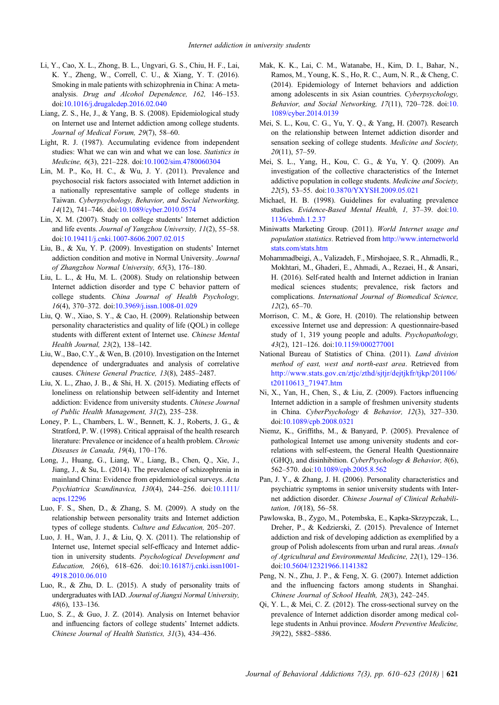- <span id="page-14-0"></span>Li, Y., Cao, X. L., Zhong, B. L., Ungvari, G. S., Chiu, H. F., Lai, K. Y., Zheng, W., Correll, C. U., & Xiang, Y. T. (2016). Smoking in male patients with schizophrenia in China: A metaanalysis. Drug and Alcohol Dependence, 162, 146–153. doi:[10.1016/j.drugalcdep.2016.02.040](http://dx.doi.org/10.1016/j.drugalcdep.2016.02.040)
- Liang, Z. S., He, J., & Yang, B. S. (2008). Epidemiological study on Internet use and Internet addiction among college students. Journal of Medical Forum, 29(7), 58–60.
- Light, R. J. (1987). Accumulating evidence from independent studies: What we can win and what we can lose. Statistics in Medicine, 6(3), 221–228. doi[:10.1002/sim.4780060304](http://dx.doi.org/10.1002/sim.4780060304)
- Lin, M. P., Ko, H. C., & Wu, J. Y. (2011). Prevalence and psychosocial risk factors associated with Internet addiction in a nationally representative sample of college students in Taiwan. Cyberpsychology, Behavior, and Social Networking, 14(12), 741–746. doi:[10.1089/cyber.2010.0574](http://dx.doi.org/10.1089/cyber.2010.0574)
- Lin, X. M. (2007). Study on college students' Internet addiction and life events. Journal of Yangzhou University, 11(2), 55–58. doi:[10.19411/j.cnki.1007-8606.2007.02.015](http://dx.doi.org/10.19411/j.cnki.1007-8606.2007.02.015)
- Liu, B., & Xu, Y. P. (2009). Investigation on students' Internet addiction condition and motive in Normal University. Journal of Zhangzhou Normal University, 65(3), 176–180.
- Liu, L. L., & Hu, M. L. (2008). Study on relationship between Internet addiction disorder and type C behavior pattern of college students. China Journal of Health Psychology, 16(4), 370–372. doi[:10.3969/j.issn.1008-01.029](http://dx.doi.org/10.3969/j.issn.1008-01.029)
- Liu, Q. W., Xiao, S. Y., & Cao, H. (2009). Relationship between personality characteristics and quality of life (QOL) in college students with different extent of Internet use. Chinese Mental Health Journal, 23(2), 138–142.
- Liu, W., Bao, C.Y., & Wen, B. (2010). Investigation on the Internet dependence of undergraduates and analysis of correlative causes. Chinese General Practice, 13(8), 2485–2487.
- Liu, X. L., Zhao, J. B., & Shi, H. X. (2015). Mediating effects of loneliness on relationship between self-identity and Internet addiction: Evidence from university students. Chinese Journal of Public Health Management, 31(2), 235–238.
- Loney, P. L., Chambers, L. W., Bennett, K. J., Roberts, J. G., & Stratford, P. W. (1998). Critical appraisal of the health research literature: Prevalence or incidence of a health problem. Chronic Diseases in Canada, 19(4), 170–176.
- Long, J., Huang, G., Liang, W., Liang, B., Chen, Q., Xie, J., Jiang, J., & Su, L. (2014). The prevalence of schizophrenia in mainland China: Evidence from epidemiological surveys. Acta Psychiatrica Scandinavica, 130(4), 244–256. doi:[10.1111/](http://dx.doi.org/10.1111/acps.12296) [acps.12296](http://dx.doi.org/10.1111/acps.12296)
- Luo, F. S., Shen, D., & Zhang, S. M. (2009). A study on the relationship between personality traits and Internet addiction types of college students. Culture and Education, 205–207.
- Luo, J. H., Wan, J. J., & Liu, Q. X. (2011). The relationship of Internet use, Internet special self-efficacy and Internet addiction in university students. Psychological Development and Education, 26(6), 618–626. doi[:10.16187/j.cnki.issn1001-](http://dx.doi.org/10.16187/j.cnki.issn1001-4918.2010.06.010) [4918.2010.06.010](http://dx.doi.org/10.16187/j.cnki.issn1001-4918.2010.06.010)
- Luo, R., & Zhu, D. L. (2015). A study of personality traits of undergraduates with IAD. Journal of Jiangxi Normal University, 48(6), 133–136.
- Luo, S. Z., & Guo, J. Z. (2014). Analysis on Internet behavior and influencing factors of college students' Internet addicts. Chinese Journal of Health Statistics, 31(3), 434–436.
- Mak, K. K., Lai, C. M., Watanabe, H., Kim, D. I., Bahar, N., Ramos, M., Young, K. S., Ho, R. C., Aum, N. R., & Cheng, C. (2014). Epidemiology of Internet behaviors and addiction among adolescents in six Asian countries. Cyberpsychology, Behavior, and Social Networking, 17(11), 720–728. doi:[10.](http://dx.doi.org/10.1089/cyber.2014.0139) [1089/cyber.2014.0139](http://dx.doi.org/10.1089/cyber.2014.0139)
- Mei, S. L., Kou, C. G., Yu, Y. Q., & Yang, H. (2007). Research on the relationship between Internet addiction disorder and sensation seeking of college students. Medicine and Society, 20(11), 57–59.
- Mei, S. L., Yang, H., Kou, C. G., & Yu, Y. Q. (2009). An investigation of the collective characteristics of the Internet addictive population in college students. Medicine and Society, 22(5), 53–55. doi:[10.3870/YXYSH.2009.05.021](http://dx.doi.org/10.3870/YXYSH.2009.05.021)
- Michael, H. B. (1998). Guidelines for evaluating prevalence studies. Evidence-Based Mental Health, 1, 37–39. doi:[10.](http://dx.doi.org/10.1136/ebmh.1.2.37) [1136/ebmh.1.2.37](http://dx.doi.org/10.1136/ebmh.1.2.37)
- Miniwatts Marketing Group. (2011). World Internet usage and population statistics. Retrieved from [http://www.internetworld](http://www.internetworldstats.com/stats.htm) [stats.com/stats.htm](http://www.internetworldstats.com/stats.htm)
- Mohammadbeigi, A., Valizadeh, F., Mirshojaee, S. R., Ahmadli, R., Mokhtari, M., Ghaderi, E., Ahmadi, A., Rezaei, H., & Ansari, H. (2016). Self-rated health and Internet addiction in Iranian medical sciences students; prevalence, risk factors and complications. International Journal of Biomedical Science, 12(2), 65–70.
- Morrison, C. M., & Gore, H. (2010). The relationship between excessive Internet use and depression: A questionnaire-based study of 1, 319 young people and adults. Psychopathology, 43(2), 121–126. doi:[10.1159/000277001](http://dx.doi.org/10.1159/000277001)
- National Bureau of Statistics of China. (2011). Land division method of east, west and north-east area. Retrieved from [http://www.stats.gov.cn/ztjc/zthd/sjtjr/dejtjkfr/tjkp/201106/](http://www.stats.gov.cn/ztjc/zthd/sjtjr/dejtjkfr/tjkp/201106/t20110613_71947.htm) [t20110613\\_71947.htm](http://www.stats.gov.cn/ztjc/zthd/sjtjr/dejtjkfr/tjkp/201106/t20110613_71947.htm)
- Ni, X., Yan, H., Chen, S., & Liu, Z. (2009). Factors influencing Internet addiction in a sample of freshmen university students in China. CyberPsychology & Behavior, 12(3), 327–330. doi[:10.1089/cpb.2008.0321](http://dx.doi.org/10.1089/cpb.2008.0321)
- Niemz, K., Griffiths, M., & Banyard, P. (2005). Prevalence of pathological Internet use among university students and correlations with self-esteem, the General Health Questionnaire (GHQ), and disinhibition. CyberPsychology & Behavior, 8(6), 562–570. doi[:10.1089/cpb.2005.8.562](http://dx.doi.org/10.1089/cpb.2005.8.562)
- Pan, J. Y., & Zhang, J. H. (2006). Personality characteristics and psychiatric symptoms in senior university students with Internet addiction disorder. Chinese Journal of Clinical Rehabilitation, 10(18), 56–58.
- Pawlowska, B., Zygo, M., Potembska, E., Kapka-Skrzypczak, L., Dreher, P., & Kedzierski, Z. (2015). Prevalence of Internet addiction and risk of developing addiction as exemplified by a group of Polish adolescents from urban and rural areas. Annals of Agricultural and Environmental Medicine, 22(1), 129–136. doi[:10.5604/12321966.1141382](http://dx.doi.org/10.5604/12321966.1141382)
- Peng, N. N., Zhu, J. P., & Feng, X. G. (2007). Internet addiction and the influencing factors among students in Shanghai. Chinese Journal of School Health, 28(3), 242–245.
- Qi, Y. L., & Mei, C. Z. (2012). The cross-sectional survey on the prevalence of Internet addiction disorder among medical college students in Anhui province. Modern Preventive Medicine, 39(22), 5882–5886.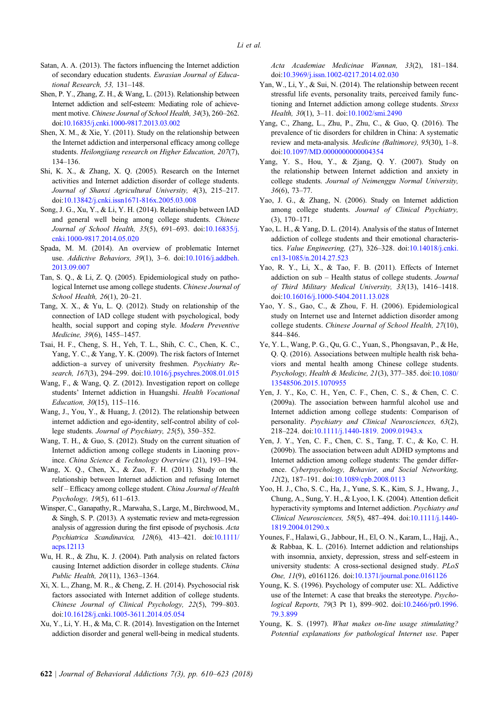- <span id="page-15-0"></span>Satan, A. A. (2013). The factors influencing the Internet addiction of secondary education students. Eurasian Journal of Educational Research, 53, 131–148.
- Shen, P. Y., Zhang, Z. H., & Wang, L. (2013). Relationship between Internet addiction and self-esteem: Mediating role of achievement motive. Chinese Journal of School Health, 34(3), 260–262. doi[:10.16835/j.cnki.1000-9817.2013.03.002](http://dx.doi.org/10.16835/j.cnki.1000-9817.2013.03.002)
- Shen, X. M., & Xie, Y. (2011). Study on the relationship between the Internet addiction and interpersonal efficacy among college students. Heilongjiang research on Higher Education, 207(7), 134–136.
- Shi, K. X., & Zhang, X. Q. (2005). Research on the Internet activities and Internet addiction disorder of college students. Journal of Shanxi Agricultural University, 4(3), 215–217. doi:[10.13842/j.cnki.issn1671-816x.2005.03.008](http://dx.doi.org/10.13842/j.cnki.issn1671-816x.2005.03.008)
- Song, J. G., Xu, Y., & Li, Y. H. (2014). Relationship between IAD and general well being among college students. Chinese Journal of School Health, 35(5), 691–693. doi:[10.16835/j.](http://dx.doi.org/10.16835/j.cnki.1000-9817.2014.05.020) [cnki.1000-9817.2014.05.020](http://dx.doi.org/10.16835/j.cnki.1000-9817.2014.05.020)
- Spada, M. M. (2014). An overview of problematic Internet use. Addictive Behaviors, 39(1), 3-6. doi[:10.1016/j.addbeh.](http://dx.doi.org/10.1016/j.addbeh.2013.09.007) [2013.09.007](http://dx.doi.org/10.1016/j.addbeh.2013.09.007)
- Tan, S. Q., & Li, Z. Q. (2005). Epidemiological study on pathological Internet use among college students. Chinese Journal of School Health, 26(1), 20–21.
- Tang, X. X., & Yu, L. Q. (2012). Study on relationship of the connection of IAD college student with psychological, body health, social support and coping style. Modern Preventive Medicine, 39(6), 1455–1457.
- Tsai, H. F., Cheng, S. H., Yeh, T. L., Shih, C. C., Chen, K. C., Yang, Y. C., & Yang, Y. K. (2009). The risk factors of Internet addiction–a survey of university freshmen. Psychiatry Re-search, 167(3), 294–299. doi:[10.1016/j.psychres.2008.01.015](http://dx.doi.org/10.1016/j.psychres.2008.01.015)
- Wang, F., & Wang, Q. Z. (2012). Investigation report on college students' Internet addiction in Huangshi. Health Vocational Education, 30(15), 115–116.
- Wang, J., You, Y., & Huang, J. (2012). The relationship between internet addiction and ego-identity, self-control ability of college students. Journal of Psychiatry, 25(5), 350–352.
- Wang, T. H., & Guo, S. (2012). Study on the current situation of Internet addiction among college students in Liaoning province. China Science & Technology Overview (21), 193–194.
- Wang, X. Q., Chen, X., & Zuo, F. H. (2011). Study on the relationship between Internet addiction and refusing Internet self - Efficacy among college student. China Journal of Health Psychology, 19(5), 611–613.
- Winsper, C., Ganapathy, R., Marwaha, S., Large, M., Birchwood, M., & Singh, S. P. (2013). A systematic review and meta-regression analysis of aggression during the first episode of psychosis. Acta Psychiatrica Scandinavica, 128(6), 413–421. doi[:10.1111/](http://dx.doi.org/10.1111/acps.12113) [acps.12113](http://dx.doi.org/10.1111/acps.12113)
- Wu, H. R., & Zhu, K. J. (2004). Path analysis on related factors causing Internet addiction disorder in college students. China Public Health, 20(11), 1363–1364.
- Xi, X. L., Zhang, M. R., & Cheng, Z. H. (2014). Psychosocial risk factors associated with Internet addition of college students. Chinese Journal of Clinical Psychology, 22(5), 799–803. doi:[10.16128/j.cnki.1005-3611.2014.05.054](http://dx.doi.org/10.16128/j.cnki.1005-3611.2014.05.054)
- Xu, Y., Li, Y. H., & Ma, C. R. (2014). Investigation on the Internet addiction disorder and general well-being in medical students.

Acta Academiae Medicinae Wannan, 33(2), 181–184. doi[:10.3969/j.issn.1002-0217.2014.02.030](http://dx.doi.org/10.3969/j.issn.1002-0217.2014.02.030)

- Yan, W., Li, Y., & Sui, N. (2014). The relationship between recent stressful life events, personality traits, perceived family functioning and Internet addiction among college students. Stress Health, 30(1), 3–11. doi[:10.1002/smi.2490](http://dx.doi.org/10.1002/smi.2490)
- Yang, C., Zhang, L., Zhu, P., Zhu, C., & Guo, Q. (2016). The prevalence of tic disorders for children in China: A systematic review and meta-analysis. Medicine (Baltimore), 95(30), 1–8. doi[:10.1097/MD.0000000000004354](http://dx.doi.org/10.1097/MD.0000000000004354)
- Yang, Y. S., Hou, Y., & Zjang, Q. Y. (2007). Study on the relationship between Internet addiction and anxiety in college students. Journal of Neimenggu Normal University, 36(6), 73–77.
- Yao, J. G., & Zhang, N. (2006). Study on Internet addiction among college students. Journal of Clinical Psychiatry, (3), 170–171.
- Yao, L. H., & Yang, D. L. (2014). Analysis of the status of Internet addiction of college students and their emotional characteristics. Value Engineering, (27), 326–328. doi:[10.14018/j.cnki.](http://dx.doi.org/10.14018/j.cnki.cn13-1085/n.2014.27.523) [cn13-1085/n.2014.27.523](http://dx.doi.org/10.14018/j.cnki.cn13-1085/n.2014.27.523)
- Yao, R. Y., Li, X., & Tao, F. B. (2011). Effects of Internet addiction on sub – Health status of college students. Journal of Third Military Medical University, 33(13), 1416–1418. doi[:10.16016/j.1000-5404.2011.13.028](http://dx.doi.org/10.16016/j.1000-5404.2011.13.028)
- Yao, Y. S., Gao, C., & Zhou, F. H. (2006). Epidemiological study on Internet use and Internet addiction disorder among college students. Chinese Journal of School Health, 27(10), 844–846.
- Ye, Y. L., Wang, P. G., Qu, G. C., Yuan, S., Phongsavan, P., & He, Q. Q. (2016). Associations between multiple health risk behaviors and mental health among Chinese college students. Psychology, Health & Medicine, 21(3), 377–385. doi[:10.1080/](http://dx.doi.org/10.1080/13548506.2015.1070955) [13548506.2015.1070955](http://dx.doi.org/10.1080/13548506.2015.1070955)
- Yen, J. Y., Ko, C. H., Yen, C. F., Chen, C. S., & Chen, C. C. (2009a). The association between harmful alcohol use and Internet addiction among college students: Comparison of personality. Psychiatry and Clinical Neurosciences, 63(2), 218–224. doi[:10.1111/j.1440-1819. 2009.01943.x](http://dx.doi.org/10.1111/j.1440-1819. 2009.01943.x)
- Yen, J. Y., Yen, C. F., Chen, C. S., Tang, T. C., & Ko, C. H. (2009b). The association between adult ADHD symptoms and Internet addiction among college students: The gender difference. Cyberpsychology, Behavior, and Social Networking, 12(2), 187–191. doi:[10.1089/cpb.2008.0113](http://dx.doi.org/10.1089/cpb.2008.0113)
- Yoo, H. J., Cho, S. C., Ha, J., Yune, S. K., Kim, S. J., Hwang, J., Chung, A., Sung, Y. H., & Lyoo, I. K. (2004). Attention deficit hyperactivity symptoms and Internet addiction. Psychiatry and Clinical Neurosciences, 58(5), 487–494. doi:[10.1111/j.1440-](http://dx.doi.org/10.1111/j.1440-1819.2004.01290.x) [1819.2004.01290.x](http://dx.doi.org/10.1111/j.1440-1819.2004.01290.x)
- Younes, F., Halawi, G., Jabbour, H., El, O. N., Karam, L., Hajj, A., & Rabbaa, K. L. (2016). Internet addiction and relationships with insomnia, anxiety, depression, stress and self-esteem in university students: A cross-sectional designed study. PLoS One, 11(9), e0161126. doi[:10.1371/journal.pone.0161126](http://dx.doi.org/10.1371/journal.pone.0161126)
- Young, K. S. (1996). Psychology of computer use: XL. Addictive use of the Internet: A case that breaks the stereotype. Psychological Reports, 79(3 Pt 1), 899–902. doi[:10.2466/pr0.1996.](http://dx.doi.org/10.2466/pr0.1996.79.3.899) [79.3.899](http://dx.doi.org/10.2466/pr0.1996.79.3.899)
- Young, K. S. (1997). What makes on-line usage stimulating? Potential explanations for pathological Internet use. Paper